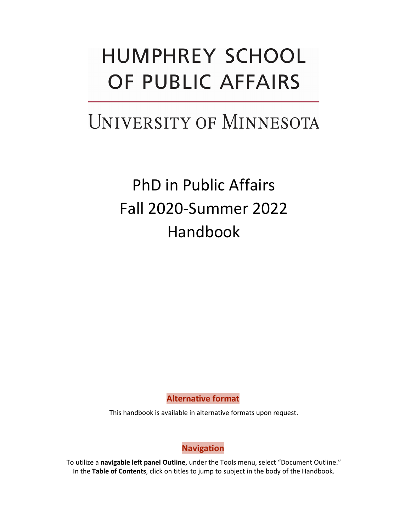# **HUMPHREY SCHOOL** OF PUBLIC AFFAIRS

# UNIVERSITY OF MINNESOTA

PhD in Public Affairs Fall 2020-Summer 2022 Handbook

**Alternative format**

<span id="page-0-0"></span>This handbook is available in alternative formats upon request.

**Navigation**

<span id="page-0-1"></span>To utilize a **navigable left panel Outline**, under the Tools menu, select "Document Outline." In the **Table of Contents**, click on titles to jump to subject in the body of the Handbook.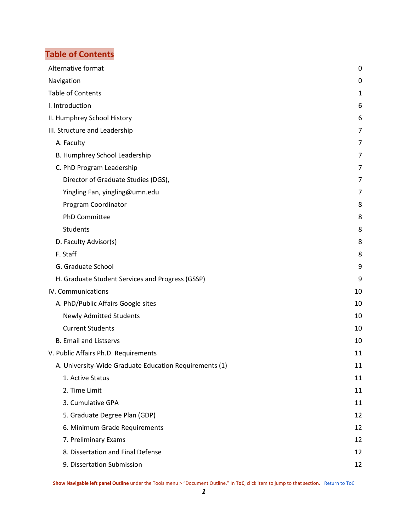## <span id="page-1-0"></span>**Table of Contents**

| Alternative format                                     | 0  |
|--------------------------------------------------------|----|
| Navigation                                             | 0  |
| <b>Table of Contents</b>                               | 1  |
| I. Introduction                                        | 6  |
| II. Humphrey School History                            | 6  |
| III. Structure and Leadership                          | 7  |
| A. Faculty                                             | 7  |
| B. Humphrey School Leadership                          | 7  |
| C. PhD Program Leadership                              | 7  |
| Director of Graduate Studies (DGS),                    | 7  |
| Yingling Fan, yingling@umn.edu                         | 7  |
| Program Coordinator                                    | 8  |
| <b>PhD Committee</b>                                   | 8  |
| Students                                               | 8  |
| D. Faculty Advisor(s)                                  | 8  |
| F. Staff                                               | 8  |
| G. Graduate School                                     | 9  |
| H. Graduate Student Services and Progress (GSSP)       | 9  |
| IV. Communications                                     | 10 |
| A. PhD/Public Affairs Google sites                     | 10 |
| <b>Newly Admitted Students</b>                         | 10 |
| <b>Current Students</b>                                | 10 |
| <b>B. Email and Listservs</b>                          | 10 |
| V. Public Affairs Ph.D. Requirements                   | 11 |
| A. University-Wide Graduate Education Requirements (1) | 11 |
| 1. Active Status                                       | 11 |
| 2. Time Limit                                          | 11 |
| 3. Cumulative GPA                                      | 11 |
| 5. Graduate Degree Plan (GDP)                          | 12 |
| 6. Minimum Grade Requirements                          | 12 |
| 7. Preliminary Exams                                   | 12 |
| 8. Dissertation and Final Defense                      | 12 |
| 9. Dissertation Submission                             | 12 |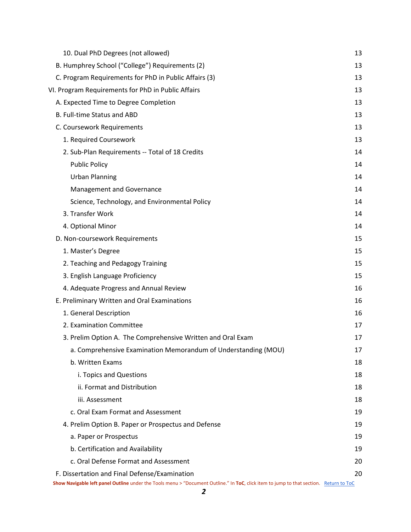| 10. Dual PhD Degrees (not allowed)                                                                                                                                                      | 13 |
|-----------------------------------------------------------------------------------------------------------------------------------------------------------------------------------------|----|
| B. Humphrey School ("College") Requirements (2)                                                                                                                                         | 13 |
| C. Program Requirements for PhD in Public Affairs (3)                                                                                                                                   | 13 |
| VI. Program Requirements for PhD in Public Affairs                                                                                                                                      | 13 |
| A. Expected Time to Degree Completion                                                                                                                                                   | 13 |
| B. Full-time Status and ABD                                                                                                                                                             | 13 |
| C. Coursework Requirements                                                                                                                                                              | 13 |
| 1. Required Coursework                                                                                                                                                                  | 13 |
| 2. Sub-Plan Requirements -- Total of 18 Credits                                                                                                                                         | 14 |
| <b>Public Policy</b>                                                                                                                                                                    | 14 |
| <b>Urban Planning</b>                                                                                                                                                                   | 14 |
| Management and Governance                                                                                                                                                               | 14 |
| Science, Technology, and Environmental Policy                                                                                                                                           | 14 |
| 3. Transfer Work                                                                                                                                                                        | 14 |
| 4. Optional Minor                                                                                                                                                                       | 14 |
| D. Non-coursework Requirements                                                                                                                                                          | 15 |
| 1. Master's Degree                                                                                                                                                                      | 15 |
| 2. Teaching and Pedagogy Training                                                                                                                                                       | 15 |
| 3. English Language Proficiency                                                                                                                                                         | 15 |
| 4. Adequate Progress and Annual Review                                                                                                                                                  | 16 |
| E. Preliminary Written and Oral Examinations                                                                                                                                            | 16 |
| 1. General Description                                                                                                                                                                  | 16 |
| 2. Examination Committee                                                                                                                                                                | 17 |
| 3. Prelim Option A. The Comprehensive Written and Oral Exam                                                                                                                             | 17 |
| a. Comprehensive Examination Memorandum of Understanding (MOU)                                                                                                                          | 17 |
| b. Written Exams                                                                                                                                                                        | 18 |
| i. Topics and Questions                                                                                                                                                                 | 18 |
| ii. Format and Distribution                                                                                                                                                             | 18 |
| iii. Assessment                                                                                                                                                                         | 18 |
| c. Oral Exam Format and Assessment                                                                                                                                                      | 19 |
| 4. Prelim Option B. Paper or Prospectus and Defense                                                                                                                                     | 19 |
| a. Paper or Prospectus                                                                                                                                                                  | 19 |
| b. Certification and Availability                                                                                                                                                       | 19 |
| c. Oral Defense Format and Assessment                                                                                                                                                   | 20 |
| F. Dissertation and Final Defense/Examination<br>Show Navigable left panel Outline under the Tools menu > "Document Outline." In ToC, click item to jump to that section. Return to ToC | 20 |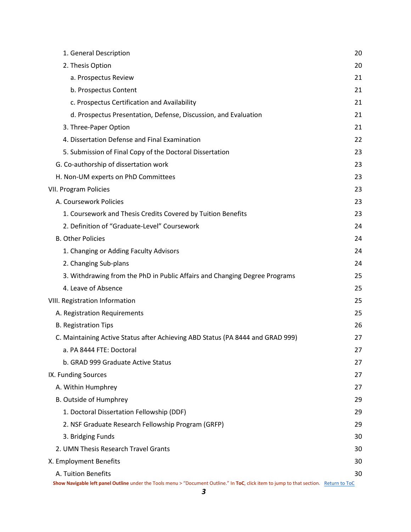| 1. General Description                                                                                                                 | 20 |
|----------------------------------------------------------------------------------------------------------------------------------------|----|
| 2. Thesis Option                                                                                                                       | 20 |
| a. Prospectus Review                                                                                                                   | 21 |
| b. Prospectus Content                                                                                                                  | 21 |
| c. Prospectus Certification and Availability                                                                                           | 21 |
| d. Prospectus Presentation, Defense, Discussion, and Evaluation                                                                        | 21 |
| 3. Three-Paper Option                                                                                                                  | 21 |
| 4. Dissertation Defense and Final Examination                                                                                          | 22 |
| 5. Submission of Final Copy of the Doctoral Dissertation                                                                               | 23 |
| G. Co-authorship of dissertation work                                                                                                  | 23 |
| H. Non-UM experts on PhD Committees                                                                                                    | 23 |
| VII. Program Policies                                                                                                                  | 23 |
| A. Coursework Policies                                                                                                                 | 23 |
| 1. Coursework and Thesis Credits Covered by Tuition Benefits                                                                           | 23 |
| 2. Definition of "Graduate-Level" Coursework                                                                                           | 24 |
| <b>B. Other Policies</b>                                                                                                               | 24 |
| 1. Changing or Adding Faculty Advisors                                                                                                 | 24 |
| 2. Changing Sub-plans                                                                                                                  | 24 |
| 3. Withdrawing from the PhD in Public Affairs and Changing Degree Programs                                                             | 25 |
| 4. Leave of Absence                                                                                                                    | 25 |
| VIII. Registration Information                                                                                                         | 25 |
| A. Registration Requirements                                                                                                           | 25 |
| <b>B. Registration Tips</b>                                                                                                            | 26 |
| C. Maintaining Active Status after Achieving ABD Status (PA 8444 and GRAD 999)                                                         | 27 |
| a. PA 8444 FTE: Doctoral                                                                                                               | 27 |
| b. GRAD 999 Graduate Active Status                                                                                                     | 27 |
| IX. Funding Sources                                                                                                                    | 27 |
| A. Within Humphrey                                                                                                                     | 27 |
| B. Outside of Humphrey                                                                                                                 | 29 |
| 1. Doctoral Dissertation Fellowship (DDF)                                                                                              | 29 |
| 2. NSF Graduate Research Fellowship Program (GRFP)                                                                                     | 29 |
| 3. Bridging Funds                                                                                                                      | 30 |
| 2. UMN Thesis Research Travel Grants                                                                                                   | 30 |
| X. Employment Benefits                                                                                                                 | 30 |
| A. Tuition Benefits                                                                                                                    | 30 |
| Show Navigable left panel Outline under the Tools menu > "Document Outline." In ToC, click item to jump to that section. Return to ToC |    |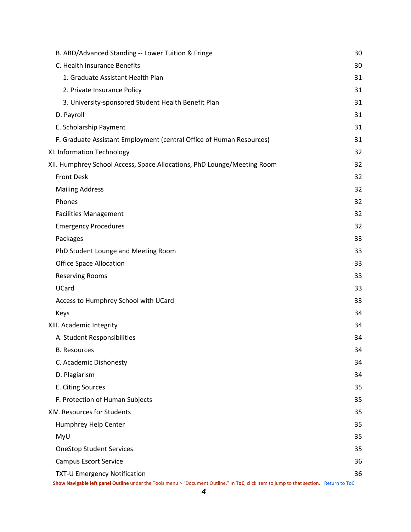| B. ABD/Advanced Standing -- Lower Tuition & Fringe                                                                                     | 30 |
|----------------------------------------------------------------------------------------------------------------------------------------|----|
| C. Health Insurance Benefits                                                                                                           | 30 |
| 1. Graduate Assistant Health Plan                                                                                                      | 31 |
| 2. Private Insurance Policy                                                                                                            | 31 |
| 3. University-sponsored Student Health Benefit Plan                                                                                    | 31 |
| D. Payroll                                                                                                                             | 31 |
| E. Scholarship Payment                                                                                                                 | 31 |
| F. Graduate Assistant Employment (central Office of Human Resources)                                                                   | 31 |
| XI. Information Technology                                                                                                             | 32 |
| XII. Humphrey School Access, Space Allocations, PhD Lounge/Meeting Room                                                                | 32 |
| <b>Front Desk</b>                                                                                                                      | 32 |
| <b>Mailing Address</b>                                                                                                                 | 32 |
| Phones                                                                                                                                 | 32 |
| <b>Facilities Management</b>                                                                                                           | 32 |
| <b>Emergency Procedures</b>                                                                                                            | 32 |
| Packages                                                                                                                               | 33 |
| PhD Student Lounge and Meeting Room                                                                                                    | 33 |
| <b>Office Space Allocation</b>                                                                                                         | 33 |
| <b>Reserving Rooms</b>                                                                                                                 | 33 |
| UCard                                                                                                                                  | 33 |
| Access to Humphrey School with UCard                                                                                                   | 33 |
| Keys                                                                                                                                   | 34 |
| XIII. Academic Integrity                                                                                                               | 34 |
| A. Student Responsibilities                                                                                                            | 34 |
| <b>B.</b> Resources                                                                                                                    | 34 |
| C. Academic Dishonesty                                                                                                                 | 34 |
| D. Plagiarism                                                                                                                          | 34 |
| E. Citing Sources                                                                                                                      | 35 |
| F. Protection of Human Subjects                                                                                                        | 35 |
| XIV. Resources for Students                                                                                                            | 35 |
| Humphrey Help Center                                                                                                                   | 35 |
| MyU                                                                                                                                    | 35 |
| <b>OneStop Student Services</b>                                                                                                        | 35 |
| <b>Campus Escort Service</b>                                                                                                           | 36 |
| <b>TXT-U Emergency Notification</b>                                                                                                    | 36 |
| Show Navigable left panel Outline under the Tools menu > "Document Outline." In ToC, click item to jump to that section. Return to ToC |    |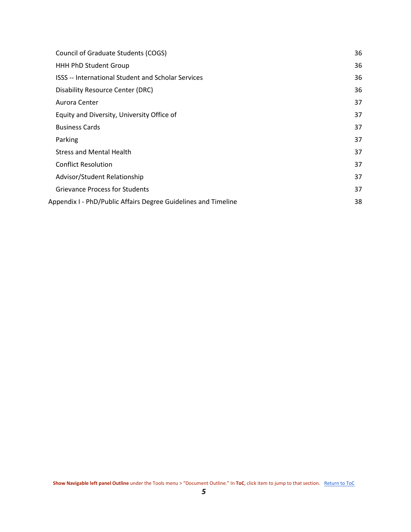| Council of Graduate Students (COGS)                            | 36 |
|----------------------------------------------------------------|----|
| <b>HHH PhD Student Group</b>                                   | 36 |
| <b>ISSS -- International Student and Scholar Services</b>      | 36 |
| <b>Disability Resource Center (DRC)</b>                        | 36 |
| Aurora Center                                                  | 37 |
| Equity and Diversity, University Office of                     | 37 |
| <b>Business Cards</b>                                          | 37 |
| Parking                                                        | 37 |
| <b>Stress and Mental Health</b>                                | 37 |
| <b>Conflict Resolution</b>                                     | 37 |
| Advisor/Student Relationship                                   | 37 |
| <b>Grievance Process for Students</b>                          | 37 |
| Appendix I - PhD/Public Affairs Degree Guidelines and Timeline | 38 |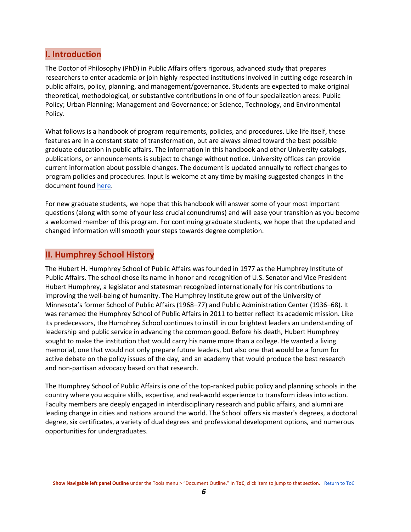## <span id="page-6-0"></span>**I. Introduction**

The Doctor of Philosophy (PhD) in Public Affairs offers rigorous, advanced study that prepares researchers to enter academia or join highly respected institutions involved in cutting edge research in public affairs, policy, planning, and management/governance. Students are expected to make original theoretical, methodological, or substantive contributions in one of four specialization areas: Public Policy; Urban Planning; Management and Governance; or Science, Technology, and Environmental Policy.

What follows is a handbook of program requirements, policies, and procedures. Like life itself, these features are in a constant state of transformation, but are always aimed toward the best possible graduate education in public affairs. The information in this handbook and other University catalogs, publications, or announcements is subject to change without notice. University offices can provide current information about possible changes. The document is updated annually to reflect changes to program policies and procedures. Input is welcome at any time by making suggested changes in the document foun[d here.](https://docs.google.com/document/d/1DcOL0S3h1RvvqBnM4GRvfePW39VZUL-JSu3Fc5tNCT8/edit)

For new graduate students, we hope that this handbook will answer some of your most important questions (along with some of your less crucial conundrums) and will ease your transition as you become a welcomed member of this program. For continuing graduate students, we hope that the updated and changed information will smooth your steps towards degree completion.

## <span id="page-6-1"></span>**II. Humphrey School History**

The Hubert H. Humphrey School of Public Affairs was founded in 1977 as the Humphrey Institute of Public Affairs. The school chose its name in honor and recognition of U.S. Senator and Vice President Hubert Humphrey, a legislator and statesman recognized internationally for his contributions to improving the well-being of humanity. The Humphrey Institute grew out of the University of Minnesota's former School of Public Affairs (1968–77) and Public Administration Center (1936–68). It was renamed the Humphrey School of Public Affairs in 2011 to better reflect its academic mission. Like its predecessors, the Humphrey School continues to instill in our brightest leaders an understanding of leadership and public service in advancing the common good. Before his death, Hubert Humphrey sought to make the institution that would carry his name more than a college. He wanted a living memorial, one that would not only prepare future leaders, but also one that would be a forum for active debate on the policy issues of the day, and an academy that would produce the best research and non-partisan advocacy based on that research.

The Humphrey School of Public Affairs is one of the top-ranked public policy and planning schools in the country where you acquire skills, expertise, and real-world experience to transform ideas into action. Faculty members are deeply engaged in interdisciplinary research and public affairs, and alumni are leading change in cities and nations around the world. The School offers six master's degrees, a doctoral degree, six certificates, a variety of dual degrees and professional development options, and numerous opportunities for undergraduates.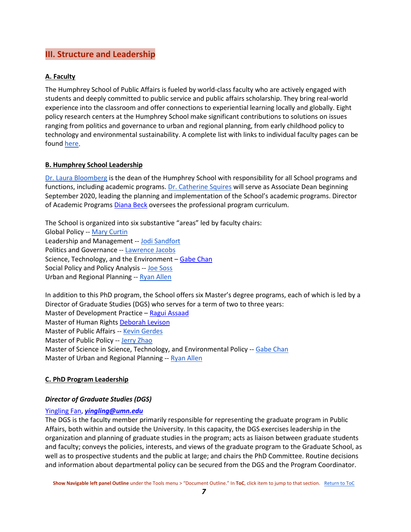## <span id="page-7-0"></span>**III. Structure and Leadership**

#### <span id="page-7-1"></span>**A. Faculty**

The Humphrey School of Public Affairs is fueled by world-class faculty who are actively engaged with students and deeply committed to public service and public affairs scholarship. They bring real-world experience into the classroom and offer connections to experiential learning locally and globally. Eight policy research centers at the Humphrey School make significant contributions to solutions on issues ranging from politics and governance to urban and regional planning, from early childhood policy to technology and environmental sustainability. A complete list with links to individual faculty pages can be found [here.](https://www.hhh.umn.edu/directory)

#### <span id="page-7-2"></span>**B. Humphrey School Leadership**

[Dr. Laura Bloomberg](https://www.hhh.umn.edu/about/our-leadership) is the dean of the Humphrey School with responsibility for all School programs and functions, including academic programs. [Dr. Catherine Squires](https://www.hhh.umn.edu/about/our-leadership) will serve as Associate Dean beginning September 2020, leading the planning and implementation of the School's academic programs. Director of Academic Programs [Diana Beck](https://www.hhh.umn.edu/directory/diana-beck) oversees the professional program curriculum.

The School is organized into six substantive "areas" led by faculty chairs: Global Policy -- [Mary Curtin](https://www.hhh.umn.edu/directory/mary-curtin) Leadership and Management -- [Jodi Sandfort](https://www.hhh.umn.edu/directory/jodi-sandfort) Politics and Governance -- [Lawrence Jacobs](https://www.hhh.umn.edu/directory/lawrence-jacobs) Science, Technology, and the Environment – [Gabe](https://www.hhh.umn.edu/directory/gabriel-chan) Chan Social Policy and Policy Analysis -- [Joe Soss](https://www.hhh.umn.edu/directory/joe-soss) Urban and Regional Planning -- [Ryan Allen](https://www.hhh.umn.edu/directory/ryan-allen)

In addition to this PhD program, the School offers six Master's degree programs, each of which is led by a Director of Graduate Studies (DGS) who serves for a term of two to three years: Master of Development Practice – [Ragui Assaad](https://www.hhh.umn.edu/directory/ragui-assaad) Master of Human Rights [Deborah Levison](https://www.hhh.umn.edu/directory/deborah-levison) Master of Public Affairs -- [Kevin Gerdes](https://www.hhh.umn.edu/directory/kevin-gerdes) Master of Public Policy -- [Jerry Zhao](https://www.hhh.umn.edu/directory/zhirong-jerry-zhao) Master of Science in Science, Technology, and Environmental Policy -- [Gabe Chan](https://www.hhh.umn.edu/directory/gabriel-chan) Master of Urban and Regional Planning -- [Ryan Allen](https://www.hhh.umn.edu/directory/ryan-allen)

#### <span id="page-7-3"></span>**C. PhD Program Leadership**

#### <span id="page-7-4"></span>*Director of Graduate Studies (DGS)*

#### <span id="page-7-5"></span>[Yingling Fan,](https://www.hhh.umn.edu/directory/yingling-fan) *[yingling@umn.edu](mailto:yingling@umn.edu)*

The DGS is the faculty member primarily responsible for representing the graduate program in Public Affairs, both within and outside the University. In this capacity, the DGS exercises leadership in the organization and planning of graduate studies in the program; acts as liaison between graduate students and faculty; conveys the policies, interests, and views of the graduate program to the Graduate School, as well as to prospective students and the public at large; and chairs the PhD Committee. Routine decisions and information about departmental policy can be secured from the DGS and the Program Coordinator.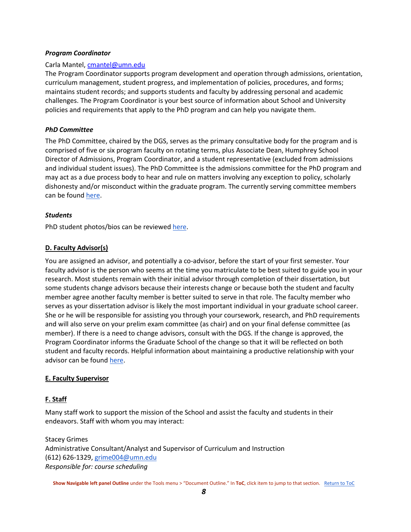#### <span id="page-8-0"></span>*Program Coordinator*

#### Carla Mantel, [cmantel@umn.edu](mailto:cmantel@umn.edu)

The Program Coordinator supports program development and operation through admissions, orientation, curriculum management, student progress, and implementation of policies, procedures, and forms; maintains student records; and supports students and faculty by addressing personal and academic challenges. The Program Coordinator is your best source of information about School and University policies and requirements that apply to the PhD program and can help you navigate them.

#### <span id="page-8-1"></span>*PhD Committee*

The PhD Committee, chaired by the DGS, serves as the primary consultative body for the program and is comprised of five or six program faculty on rotating terms, plus Associate Dean, Humphrey School Director of Admissions, Program Coordinator, and a student representative (excluded from admissions and individual student issues). The PhD Committee is the admissions committee for the PhD program and may act as a due process body to hear and rule on matters involving any exception to policy, scholarly dishonesty and/or misconduct within the graduate program. The currently serving committee members can be found [here.](https://sites.google.com/a/umn.edu/phd-in-public-affairs/home/phd-committee)

#### <span id="page-8-2"></span>*Students*

<span id="page-8-3"></span>PhD student photos/bios can be reviewed [here.](https://sites.google.com/a/umn.edu/ph-d-in-public-affairs-information-for-new-students/phd-public-affairs-student-bios)

#### **D. Faculty Advisor(s)**

You are assigned an advisor, and potentially a co-advisor, before the start of your first semester. Your faculty advisor is the person who seems at the time you matriculate to be best suited to guide you in your research. Most students remain with their initial advisor through completion of their dissertation, but some students change advisors because their interests change or because both the student and faculty member agree another faculty member is better suited to serve in that role. The faculty member who serves as your dissertation advisor is likely the most important individual in your graduate school career. She or he will be responsible for assisting you through your coursework, research, and PhD requirements and will also serve on your prelim exam committee (as chair) and on your final defense committee (as member). If there is a need to change advisors, consult with the DGS. If the change is approved, the Program Coordinator informs the Graduate School of the change so that it will be reflected on both student and faculty records. Helpful information about maintaining a productive relationship with your advisor can be found [here.](http://www.gradvising.umn.edu/for-students.html)

#### <span id="page-8-4"></span>**E. Faculty Supervisor**

#### **F. Staff**

Many staff work to support the mission of the School and assist the faculty and students in their endeavors. Staff with whom you may interact:

Stacey Grimes Administrative Consultant/Analyst and Supervisor of Curriculum and Instruction (612) 626-1329, [grime004@umn.edu](mailto:grime004@umn.edu) *Responsible for: course scheduling*

**Show Navigable left panel Outline** under the Tools menu > "Document Outline." In **ToC**, click item to jump to that section. [Return to ToC](#page-1-0)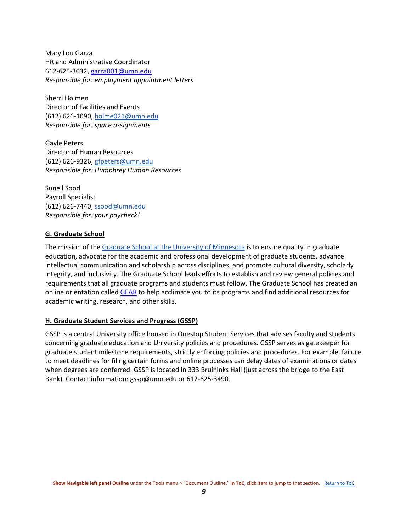Mary Lou Garza HR and Administrative Coordinator 612-625-3032, [garza001@umn.edu](mailto:garza001@umn.edu) *Responsible for: employment appointment letters*

Sherri Holmen Director of Facilities and Events (612) 626-1090, [holme021@umn.edu](mailto:holme021@umn.edu) *Responsible for: space assignments*

Gayle Peters Director of Human Resources (612) 626-9326, [gfpeters@umn.edu](mailto:gfpeters@umn.edu) *Responsible for: Humphrey Human Resources*

Suneil Sood Payroll Specialist (612) 626-7440, [ssood@umn.edu](mailto:ssood@umn.edu) *Responsible for: your paycheck!*

#### <span id="page-9-0"></span>**G. Graduate School**

The mission of the [Graduate School at the University of Minnesota](https://www.grad.umn.edu/) is to ensure quality in graduate education, advocate for the academic and professional development of graduate students, advance intellectual communication and scholarship across disciplines, and promote cultural diversity, scholarly integrity, and inclusivity. The Graduate School leads efforts to establish and review general policies and requirements that all graduate programs and students must follow. The Graduate School has created an online orientation called [GEAR](https://grad.umn.edu/gear) to help acclimate you to its programs and find additional resources for academic writing, research, and other skills.

#### <span id="page-9-1"></span>**H. Graduate Student Services and Progress (GSSP)**

GSSP is a central University office housed in Onestop Student Services that advises faculty and students concerning graduate education and University policies and procedures. GSSP serves as gatekeeper for graduate student milestone requirements, strictly enforcing policies and procedures. For example, failure to meet deadlines for filing certain forms and online processes can delay dates of examinations or dates when degrees are conferred. GSSP is located in 333 Bruininks Hall (just across the bridge to the East Bank). Contact information: gssp@umn.edu or 612-625-3490.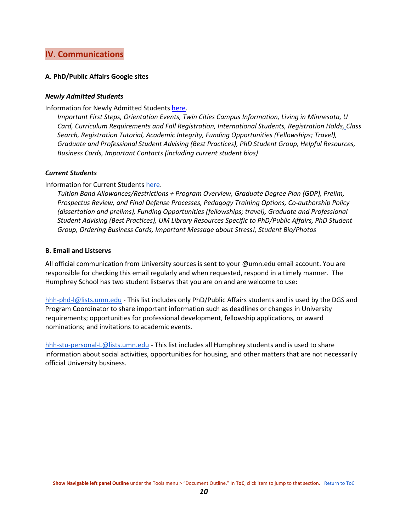## <span id="page-10-0"></span>**IV. Communications**

#### <span id="page-10-1"></span>**A. PhD/Public Affairs Google sites**

#### <span id="page-10-2"></span>*Newly Admitted Students*

Information for Newly Admitted Students [here.](https://sites.google.com/a/umn.edu/ph-d-in-public-affairs-information-for-new-students)

*Important First Steps, Orientation Events, Twin Cities Campus Information, Living in Minnesota, U Card, Curriculum Requirements and Fall Registration, International Students, Registration Holds[,](https://sites.google.com/a/umn.edu/ph-d-in-public-affairs-information-for-new-students/holds) Class Search, Registration Tutorial, Academic Integrity, Funding Opportunities (Fellowships; Travel), Graduate and Professional Student Advising (Best Practices), PhD Student Group, Helpful Resources, Business Cards, Important Contacts (including current student bios)*

#### <span id="page-10-3"></span>*Current Students*

Information for Current Student[s here.](https://sites.google.com/a/umn.edu/phd-in-public-affairs/)

*Tuition Band Allowances/Restrictions + Program Overview, Graduate Degree Plan (GDP), Prelim, Prospectus Review, and Final Defense Processes, Pedagogy Training Options, Co-authorship Policy (dissertation and prelims), Funding Opportunities (fellowships; travel), Graduate and Professional Student Advising (Best Practices), UM Library Resources Specific to PhD/Public Affairs, PhD Student Group, Ordering Business Cards, Important Message about Stress!, Student Bio/Photos*

#### <span id="page-10-4"></span>**B. Email and Listservs**

All official communication from University sources is sent to your @umn.edu email account. You are responsible for checking this email regularly and when requested, respond in a timely manner. The Humphrey School has two student listservs that you are on and are welcome to use:

[hhh-phd-l@lists.umn.edu](mailto:hhh-phd-l@lists.umn.edu) - This list includes only PhD/Public Affairs students and is used by the DGS and Program Coordinator to share important information such as deadlines or changes in University requirements; opportunities for professional development, fellowship applications, or award nominations; and invitations to academic events.

[hhh-stu-personal-L@lists.umn.edu](mailto:hhh-stu-personal-L@lists.umn.edu) - This list includes all Humphrey students and is used to share information about social activities, opportunities for housing, and other matters that are not necessarily official University business.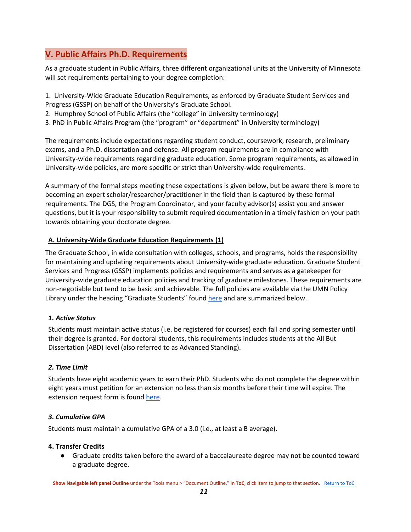## <span id="page-11-0"></span>**V. Public Affairs Ph.D. Requirements**

As a graduate student in Public Affairs, three different organizational units at the University of Minnesota will set requirements pertaining to your degree completion:

1. University-Wide Graduate Education Requirements, as enforced by Graduate Student Services and Progress (GSSP) on behalf of the University's Graduate School.

2. Humphrey School of Public Affairs (the "college" in University terminology)

3. PhD in Public Affairs Program (the "program" or "department" in University terminology)

The requirements include expectations regarding student conduct, coursework, research, preliminary exams, and a Ph.D. dissertation and defense. All program requirements are in compliance with University-wide requirements regarding graduate education. Some program requirements, as allowed in University-wide policies, are more specific or strict than University-wide requirements.

A summary of the formal steps meeting these expectations is given below, but be aware there is more to becoming an expert scholar/researcher/practitioner in the field than is captured by these formal requirements. The DGS, the Program Coordinator, and your faculty advisor(s) assist you and answer questions, but it is your responsibility to submit required documentation in a timely fashion on your path towards obtaining your doctorate degree.

#### <span id="page-11-5"></span><span id="page-11-1"></span>**A. University-Wide Graduate Education Requirements (1)**

The Graduate School, in wide consultation with colleges, schools, and programs, holds the responsibility for maintaining and updating requirements about University-wide graduate education. Graduate Student Services and Progress (GSSP) implements policies and requirements and serves as a gatekeeper for University-wide graduate education policies and tracking of graduate milestones. These requirements are non-negotiable but tend to be basic and achievable. The full policies are available via the UMN Policy Library under the heading "Graduate Students" found [here](https://policy.umn.edu/education) and are summarized below.

#### <span id="page-11-2"></span>*1. Active Status*

Students must maintain active status (i.e. be registered for courses) each fall and spring semester until their degree is granted. For doctoral students, this requirements includes students at the All But Dissertation (ABD) level (also referred to as Advanced Standing).

#### <span id="page-11-3"></span>*2. Time Limit*

Students have eight academic years to earn their PhD. Students who do not complete the degree within eight years must petition for an extension no less than six months before their time will expire. The extension request form is foun[d here.](http://policy.umn.edu/sites/policy.umn.edu/files/forms/um1777.pdf)

#### <span id="page-11-4"></span>*3. Cumulative GPA*

Students must maintain a cumulative GPA of a 3.0 (i.e., at least a B average).

#### **4. Transfer Credits**

● Graduate credits taken before the award of a baccalaureate degree may not be counted toward a graduate degree.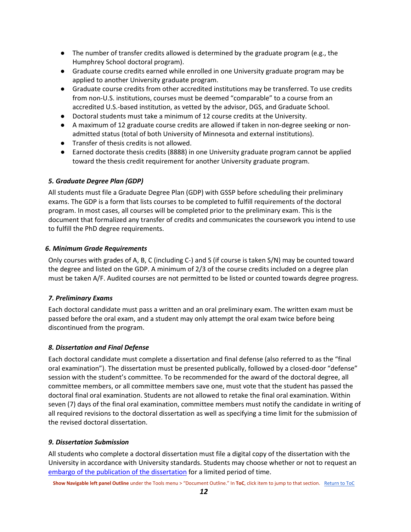- The number of transfer credits allowed is determined by the graduate program (e.g., the Humphrey School doctoral program).
- Graduate course credits earned while enrolled in one University graduate program may be applied to another University graduate program.
- Graduate course credits from other accredited institutions may be transferred. To use credits from non-U.S. institutions, courses must be deemed "comparable" to a course from an accredited U.S.-based institution, as vetted by the advisor, DGS, and Graduate School.
- Doctoral students must take a minimum of 12 course credits at the University.
- A maximum of 12 graduate course credits are allowed if taken in non-degree seeking or nonadmitted status (total of both University of Minnesota and external institutions).
- Transfer of thesis credits is not allowed.
- Earned doctorate thesis credits (8888) in one University graduate program cannot be applied toward the thesis credit requirement for another University graduate program.

#### <span id="page-12-0"></span>*5. Graduate Degree Plan (GDP)*

All students must file a Graduate Degree Plan (GDP) with GSSP before scheduling their preliminary exams. The GDP is a form that lists courses to be completed to fulfill requirements of the doctoral program. In most cases, all courses will be completed prior to the preliminary exam. This is the document that formalized any transfer of credits and communicates the coursework you intend to use to fulfill the PhD degree requirements.

#### <span id="page-12-1"></span>*6. Minimum Grade Requirements*

Only courses with grades of A, B, C (including C-) and S (if course is taken S/N) may be counted toward the degree and listed on the GDP. A minimum of 2/3 of the course credits included on a degree plan must be taken A/F. Audited courses are not permitted to be listed or counted towards degree progress.

#### <span id="page-12-2"></span>*7. Preliminary Exams*

Each doctoral candidate must pass a written and an oral preliminary exam. The written exam must be passed before the oral exam, and a student may only attempt the oral exam twice before being discontinued from the program.

#### <span id="page-12-3"></span>*8. Dissertation and Final Defense*

Each doctoral candidate must complete a dissertation and final defense (also referred to as the "final oral examination"). The dissertation must be presented publically, followed by a closed-door "defense" session with the student's committee. To be recommended for the award of the doctoral degree, all committee members, or all committee members save one, must vote that the student has passed the doctoral final oral examination. Students are not allowed to retake the final oral examination. Within seven (7) days of the final oral examination, committee members must notify the candidate in writing of all required revisions to the doctoral dissertation as well as specifying a time limit for the submission of the revised doctoral dissertation.

#### <span id="page-12-4"></span>*9. Dissertation Submission*

All students who complete a doctoral dissertation must file a digital copy of the dissertation with the University in accordance with University standards. Students may choose whether or not to request an [embargo of the publication of the dissertation](https://onestop.umn.edu/sites/onestop.umn.edu/files/forms/otr197_0.pdf) for a limited period of time.

**Show Navigable left panel Outline** under the Tools menu > "Document Outline." In **ToC**, click item to jump to that section. [Return to ToC](#page-1-0)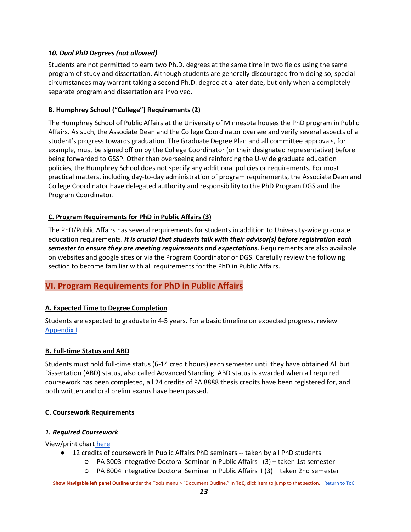#### <span id="page-13-0"></span>*10. Dual PhD Degrees (not allowed)*

Students are not permitted to earn two Ph.D. degrees at the same time in two fields using the same program of study and dissertation. Although students are generally discouraged from doing so, special circumstances may warrant taking a second Ph.D. degree at a later date, but only when a completely separate program and dissertation are involved.

#### <span id="page-13-1"></span>**B. Humphrey School ("College") Requirements (2)**

The Humphrey School of Public Affairs at the University of Minnesota houses the PhD program in Public Affairs. As such, the Associate Dean and the College Coordinator oversee and verify several aspects of a student's progress towards graduation. The Graduate Degree Plan and all committee approvals, for example, must be signed off on by the College Coordinator (or their designated representative) before being forwarded to GSSP. Other than overseeing and reinforcing the U-wide graduate education policies, the Humphrey School does not specify any additional policies or requirements. For most practical matters, including day-to-day administration of program requirements, the Associate Dean and College Coordinator have delegated authority and responsibility to the PhD Program DGS and the Program Coordinator.

#### <span id="page-13-2"></span>**C. Program Requirements for PhD in Public Affairs (3)**

The PhD/Public Affairs has several requirements for students in addition to University-wide graduate education requirements. *It is crucial that students talk with their advisor(s) before registration each semester to ensure they are meeting requirements and expectations.* Requirements are also available on websites and google sites or via the Program Coordinator or DGS. Carefully review the following section to become familiar with all requirements for the PhD in Public Affairs.

## <span id="page-13-3"></span>**VI. Program Requirements for PhD in Public Affairs**

#### <span id="page-13-4"></span>**A. Expected Time to Degree Completion**

Students are expected to graduate in 4-5 years. For a basic timeline on expected progress, review [Appendix I.](#page-38-0)

#### <span id="page-13-5"></span>**B. Full-time Status and ABD**

Students must hold full-time status (6-14 credit hours) each semester until they have obtained All but Dissertation (ABD) status, also called Advanced Standing. ABD status is awarded when all required coursework has been completed, all 24 credits of PA 8888 thesis credits have been registered for, and both written and oral prelim exams have been passed.

#### <span id="page-13-6"></span>**C. Coursework Requirements**

#### <span id="page-13-7"></span>*1. Required Coursework*

View/print chart [here](https://drive.google.com/a/umn.edu/file/d/1NBVDxjjAWTnQ228CsWnWVYnIdgFvFrtE/view?usp=sharing)

- 12 credits of coursework in Public Affairs PhD seminars -- taken by all PhD students
	- PA 8003 Integrative Doctoral Seminar in Public Affairs I (3) taken 1st semester
		- PA 8004 Integrative Doctoral Seminar in Public Affairs II (3) taken 2nd semester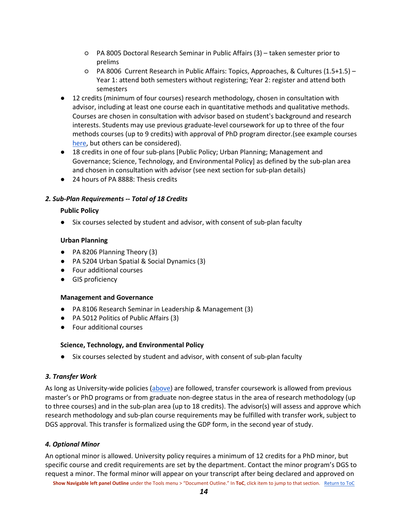- PA 8005 Doctoral Research Seminar in Public Affairs (3) taken semester prior to prelims
- PA 8006 Current Research in Public Affairs: Topics, Approaches, & Cultures (1.5+1.5) Year 1: attend both semesters without registering; Year 2: register and attend both semesters
- 12 credits (minimum of four courses) research methodology, chosen in consultation with advisor, including at least one course each in quantitative methods and qualitative methods. Courses are chosen in consultation with advisor based on student's background and research interests. Students may use previous graduate-level coursework for up to three of the four methods courses (up to 9 credits) with approval of PhD program director.(see example courses [here,](https://docs.google.com/spreadsheets/d/1cJWLk6n9vllQDxfbefR6dnCoqSuXCEyeRG0Fc1O3SPg/edit?usp=sharing) but others can be considered).
- 18 credits in one of four sub-plans [Public Policy; Urban Planning; Management and Governance; Science, Technology, and Environmental Policy] as defined by the sub-plan area and chosen in consultation with advisor (see next section for sub-plan details)
- 24 hours of PA 8888: Thesis credits

#### <span id="page-14-1"></span><span id="page-14-0"></span>*2. Sub-Plan Requirements -- Total of 18 Credits*

#### **Public Policy**

● Six courses selected by student and advisor, with consent of sub-plan faculty

#### <span id="page-14-2"></span>**Urban Planning**

- PA 8206 Planning Theory (3)
- PA 5204 Urban Spatial & Social Dynamics (3)
- Four additional courses
- GIS proficiency

#### <span id="page-14-3"></span>**Management and Governance**

- PA 8106 Research Seminar in Leadership & Management (3)
- PA 5012 Politics of Public Affairs (3)
- Four additional courses

#### <span id="page-14-4"></span>**Science, Technology, and Environmental Policy**

● Six courses selected by student and advisor, with consent of sub-plan faculty

#### <span id="page-14-5"></span>*3. Transfer Work*

As long as University-wide policies [\(above\)](#page-11-5) are followed, transfer coursework is allowed from previous master's or PhD programs or from graduate non-degree status in the area of research methodology (up to three courses) and in the sub-plan area (up to 18 credits). The advisor(s) will assess and approve which research methodology and sub-plan course requirements may be fulfilled with transfer work, subject to DGS approval. This transfer is formalized using the GDP form, in the second year of study.

#### <span id="page-14-6"></span>*4. Optional Minor*

An optional minor is allowed. University policy requires a minimum of 12 credits for a PhD minor, but specific course and credit requirements are set by the department. Contact the minor program's DGS to request a minor. The formal minor will appear on your transcript after being declared and approved on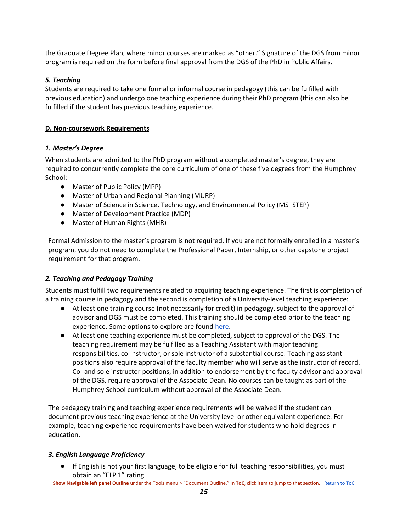the Graduate Degree Plan, where minor courses are marked as "other." Signature of the DGS from minor program is required on the form before final approval from the DGS of the PhD in Public Affairs.

#### *5. Teaching*

Students are required to take one formal or informal course in pedagogy (this can be fulfilled with previous education) and undergo one teaching experience during their PhD program (this can also be fulfilled if the student has previous teaching experience.

#### <span id="page-15-0"></span>**D. Non-coursework Requirements**

#### <span id="page-15-1"></span>*1. Master's Degree*

When students are admitted to the PhD program without a completed master's degree, they are required to concurrently complete the core curriculum of one of these five degrees from the Humphrey School:

- Master of Public Policy (MPP)
- Master of Urban and Regional Planning (MURP)
- Master of Science in Science, Technology, and Environmental Policy (MS–STEP)
- Master of Development Practice (MDP)
- Master of Human Rights (MHR)

Formal Admission to the master's program is not required. If you are not formally enrolled in a master's program, you do not need to complete the Professional Paper, Internship, or other capstone project requirement for that program.

#### <span id="page-15-2"></span>*2. Teaching and Pedagogy Training*

Students must fulfill two requirements related to acquiring teaching experience. The first is completion of a training course in pedagogy and the second is completion of a University-level teaching experience:

- At least one training course (not necessarily for credit) in pedagogy, subject to the approval of advisor and DGS must be completed. This training should be completed prior to the teaching experience. Some options to explore are foun[d here.](https://sites.google.com/a/umn.edu/phd-in-public-affairs/pedagogy-training-options)
- At least one teaching experience must be completed, subject to approval of the DGS. The teaching requirement may be fulfilled as a Teaching Assistant with major teaching responsibilities, co-instructor, or sole instructor of a substantial course. Teaching assistant positions also require approval of the faculty member who will serve as the instructor of record. Co- and sole instructor positions, in addition to endorsement by the faculty advisor and approval of the DGS, require approval of the Associate Dean. No courses can be taught as part of the Humphrey School curriculum without approval of the Associate Dean.

The pedagogy training and teaching experience requirements will be waived if the student can document previous teaching experience at the University level or other equivalent experience. For example, teaching experience requirements have been waived for students who hold degrees in education.

#### <span id="page-15-3"></span>*3. English Language Proficiency*

If English is not your first language, to be eligible for full teaching responsibilities, you must obtain an "ELP 1" rating.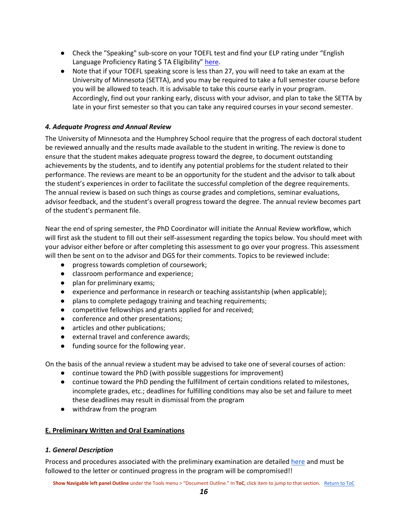- Check the "Speaking" sub-score on your TOEFL test and find your ELP rating under "English Language Proficiency Rating \$ TA Eligibility" [here.](https://cei.umn.edu/spoken-english-test-teaching-assistants-setta)
- Note that if your TOEFL speaking score is less than 27, you will need to take an exam at the University of Minnesota (SETTA), and you may be required to take a full semester course before you will be allowed to teach. It is advisable to take this course early in your program. Accordingly, find out your ranking early, discuss with your advisor, and plan to take the SETTA by late in your first semester so that you can take any required courses in your second semester.

#### <span id="page-16-0"></span>*4. Adequate Progress and Annual Review*

The University of Minnesota and the Humphrey School require that the progress of each doctoral student be reviewed annually and the results made available to the student in writing. The review is done to ensure that the student makes adequate progress toward the degree, to document outstanding achievements by the students, and to identify any potential problems for the student related to their performance. The reviews are meant to be an opportunity for the student and the advisor to talk about the student's experiences in order to facilitate the successful completion of the degree requirements. The annual review is based on such things as course grades and completions, seminar evaluations, advisor feedback, and the student's overall progress toward the degree. The annual review becomes part of the student's permanent file.

Near the end of spring semester, the PhD Coordinator will initiate the Annual Review workflow, which will first ask the student to fill out their self-assessment regarding the topics below. You should meet with your advisor either before or after completing this assessment to go over your progress. This assessment will then be sent on to the advisor and DGS for their comments. Topics to be reviewed include:

- progress towards completion of coursework;
- classroom performance and experience;
- plan for preliminary exams;
- experience and performance in research or teaching assistantship (when applicable);
- plans to complete pedagogy training and teaching requirements;
- competitive fellowships and grants applied for and received;
- conference and other presentations;
- articles and other publications;
- external travel and conference awards;
- funding source for the following year.

On the basis of the annual review a student may be advised to take one of several courses of action:

- continue toward the PhD (with possible suggestions for improvement)
- continue toward the PhD pending the fulfillment of certain conditions related to milestones, incomplete grades, etc.; deadlines for fulfilling conditions may also be set and failure to meet these deadlines may result in dismissal from the program
- withdraw from the program

#### <span id="page-16-1"></span>**E. Preliminary Written and Oral Examinations**

#### <span id="page-16-2"></span>*1. General Description*

Process and procedures associated with the preliminary examination are detailed [here](https://sites.google.com/a/umn.edu/phd-in-public-affairs/prelim-process) and must be followed to the letter or continued progress in the program will be compromised!!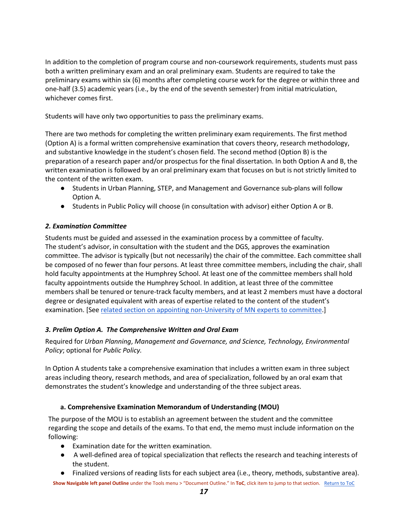In addition to the completion of program course and non-coursework requirements, students must pass both a written preliminary exam and an oral preliminary exam. Students are required to take the preliminary exams within six (6) months after completing course work for the degree or within three and one-half (3.5) academic years (i.e., by the end of the seventh semester) from initial matriculation, whichever comes first.

Students will have only two opportunities to pass the preliminary exams.

There are two methods for completing the written preliminary exam requirements. The first method (Option A) is a formal written comprehensive examination that covers theory, research methodology, and substantive knowledge in the student's chosen field. The second method (Option B) is the preparation of a research paper and/or prospectus for the final dissertation. In both Option A and B, the written examination is followed by an oral preliminary exam that focuses on but is not strictly limited to the content of the written exam.

- Students in Urban Planning, STEP, and Management and Governance sub-plans will follow Option A.
- Students in Public Policy will choose (in consultation with advisor) either Option A or B.

#### <span id="page-17-0"></span>*2. Examination Committee*

Students must be guided and assessed in the examination process by a committee of faculty. The student's advisor, in consultation with the student and the DGS, approves the examination committee. The advisor is typically (but not necessarily) the chair of the committee. Each committee shall be composed of no fewer than four persons. At least three committee members, including the chair, shall hold faculty appointments at the Humphrey School. At least one of the committee members shall hold faculty appointments outside the Humphrey School. In addition, at least three of the committee members shall be tenured or tenure-track faculty members, and at least 2 members must have a doctoral degree or designated equivalent with areas of expertise related to the content of the student's examination. [See [related section on appointing non-University of MN experts to committee.](#page-23-6)]

#### <span id="page-17-1"></span>*3. Prelim Option A. The Comprehensive Written and Oral Exam*

Required for *Urban Planning*, *Management and Governance, and Science, Technology, Environmental Policy*; optional for *Public Policy.*

In Option A students take a comprehensive examination that includes a written exam in three subject areas including theory, research methods, and area of specialization, followed by an oral exam that demonstrates the student's knowledge and understanding of the three subject areas.

#### **a. Comprehensive Examination Memorandum of Understanding (MOU)**

<span id="page-17-2"></span>The purpose of the MOU is to establish an agreement between the student and the committee regarding the scope and details of the exams. To that end, the memo must include information on the following:

- Examination date for the written examination.
- A well-defined area of topical specialization that reflects the research and teaching interests of the student.
- Finalized versions of reading lists for each subject area (i.e., theory, methods, substantive area).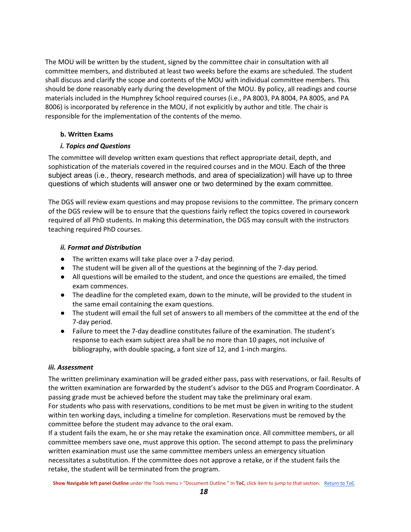The MOU will be written by the student, signed by the committee chair in consultation with all committee members, and distributed at least two weeks before the exams are scheduled. The student shall discuss and clarify the scope and contents of the MOU with individual committee members. This should be done reasonably early during the development of the MOU. By policy, all readings and course materials included in the Humphrey School required courses (i.e., PA 8003, PA 8004, PA 8005, and PA 8006) is incorporated by reference in the MOU, if not explicitly by author and title. The chair is responsible for the implementation of the contents of the memo.

#### <span id="page-18-0"></span>**b. Written Exams**

#### <span id="page-18-1"></span>*i. Topics and Questions*

The committee will develop written exam questions that reflect appropriate detail, depth, and sophistication of the materials covered in the required courses and in the MOU. Each of the three subject areas (i.e., theory, research methods, and area of specialization) will have up to three questions of which students will answer one or two determined by the exam committee.

The DGS will review exam questions and may propose revisions to the committee. The primary concern of the DGS review will be to ensure that the questions fairly reflect the topics covered in coursework required of all PhD students. In making this determination, the DGS may consult with the instructors teaching required PhD courses.

#### <span id="page-18-2"></span>*ii. Format and Distribution*

- The written exams will take place over a 7-day period.
- The student will be given all of the questions at the beginning of the 7-day period.
- All questions will be emailed to the student, and once the questions are emailed, the timed exam commences.
- The deadline for the completed exam, down to the minute, will be provided to the student in the same email containing the exam questions.
- The student will email the full set of answers to all members of the committee at the end of the 7-day period.
- Failure to meet the 7-day deadline constitutes failure of the examination. The student's response to each exam subject area shall be no more than 10 pages, not inclusive of bibliography, with double spacing, a font size of 12, and 1-inch margins.

#### <span id="page-18-3"></span>*iii. Assessment*

The written preliminary examination will be graded either pass, pass with reservations, or fail. Results of the written examination are forwarded by the student's advisor to the DGS and Program Coordinator. A passing grade must be achieved before the student may take the preliminary oral exam.

For students who pass with reservations, conditions to be met must be given in writing to the student within ten working days, including a timeline for completion. Reservations must be removed by the committee before the student may advance to the oral exam.

If a student fails the exam, he or she may retake the examination once. All committee members, or all committee members save one, must approve this option. The second attempt to pass the preliminary written examination must use the same committee members unless an emergency situation necessitates a substitution. If the committee does not approve a retake, or if the student fails the retake, the student will be terminated from the program.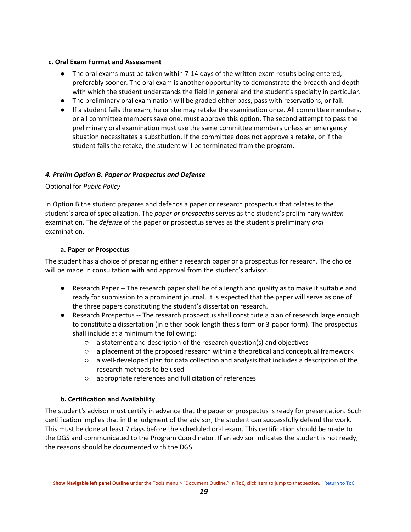#### <span id="page-19-0"></span>**c. Oral Exam Format and Assessment**

- The oral exams must be taken within 7-14 days of the written exam results being entered, preferably sooner. The oral exam is another opportunity to demonstrate the breadth and depth with which the student understands the field in general and the student's specialty in particular.
- The preliminary oral examination will be graded either pass, pass with reservations, or fail.
- If a student fails the exam, he or she may retake the examination once. All committee members, or all committee members save one, must approve this option. The second attempt to pass the preliminary oral examination must use the same committee members unless an emergency situation necessitates a substitution. If the committee does not approve a retake, or if the student fails the retake, the student will be terminated from the program.

#### <span id="page-19-1"></span>*4. Prelim Option B. Paper or Prospectus and Defense*

#### Optional for *Public Policy*

In Option B the student prepares and defends a paper or research prospectus that relates to the student's area of specialization. The *paper or prospectus* serves as the student's preliminary *written*  examination. The *defense* of the paper or prospectus serves as the student's preliminary *oral* examination.

#### **a. Paper or Prospectus**

<span id="page-19-2"></span>The student has a choice of preparing either a research paper or a prospectus for research. The choice will be made in consultation with and approval from the student's advisor.

- Research Paper -- The research paper shall be of a length and quality as to make it suitable and ready for submission to a prominent journal. It is expected that the paper will serve as one of the three papers constituting the student's dissertation research.
- Research Prospectus -- The research prospectus shall constitute a plan of research large enough to constitute a dissertation (in either book-length thesis form or 3-paper form). The prospectus shall include at a minimum the following:
	- a statement and description of the research question(s) and objectives
	- a placement of the proposed research within a theoretical and conceptual framework
	- a well-developed plan for data collection and analysis that includes a description of the research methods to be used
	- appropriate references and full citation of references

#### **b. Certification and Availability**

<span id="page-19-3"></span>The student's advisor must certify in advance that the paper or prospectus is ready for presentation. Such certification implies that in the judgment of the advisor, the student can successfully defend the work. This must be done at least 7 days before the scheduled oral exam. This certification should be made to the DGS and communicated to the Program Coordinator. If an advisor indicates the student is not ready, the reasons should be documented with the DGS.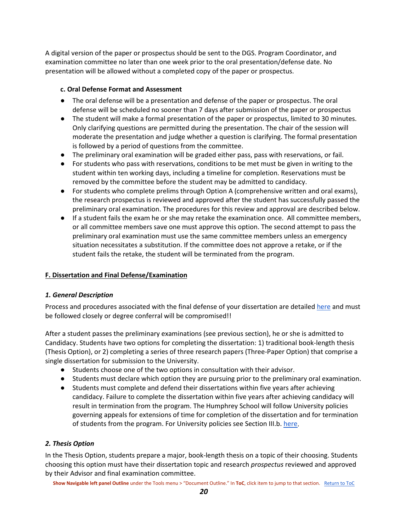A digital version of the paper or prospectus should be sent to the DGS. Program Coordinator, and examination committee no later than one week prior to the oral presentation/defense date. No presentation will be allowed without a completed copy of the paper or prospectus.

#### <span id="page-20-0"></span>**c. Oral Defense Format and Assessment**

- The oral defense will be a presentation and defense of the paper or prospectus. The oral defense will be scheduled no sooner than 7 days after submission of the paper or prospectus
- The student will make a formal presentation of the paper or prospectus, limited to 30 minutes. Only clarifying questions are permitted during the presentation. The chair of the session will moderate the presentation and judge whether a question is clarifying. The formal presentation is followed by a period of questions from the committee.
- The preliminary oral examination will be graded either pass, pass with reservations, or fail.
- For students who pass with reservations, conditions to be met must be given in writing to the student within ten working days, including a timeline for completion. Reservations must be removed by the committee before the student may be admitted to candidacy.
- For students who complete prelims through Option A (comprehensive written and oral exams), the research prospectus is reviewed and approved after the student has successfully passed the preliminary oral examination. The procedures for this review and approval are described below.
- If a student fails the exam he or she may retake the examination once. All committee members, or all committee members save one must approve this option. The second attempt to pass the preliminary oral examination must use the same committee members unless an emergency situation necessitates a substitution. If the committee does not approve a retake, or if the student fails the retake, the student will be terminated from the program.

#### <span id="page-20-1"></span>**F. Dissertation and Final Defense/Examination**

#### <span id="page-20-2"></span>*1. General Description*

Process and procedures associated with the final defense of your dissertation are detailed [here](https://sites.google.com/a/umn.edu/phd-in-public-affairs/final-defense-and-degree-conferral-process) and must be followed closely or degree conferral will be compromised!!

After a student passes the preliminary examinations (see previous section), he or she is admitted to Candidacy. Students have two options for completing the dissertation: 1) traditional book-length thesis (Thesis Option), or 2) completing a series of three research papers (Three-Paper Option) that comprise a single dissertation for submission to the University.

- Students choose one of the two options in consultation with their advisor.
- Students must declare which option they are pursuing prior to the preliminary oral examination.
- Students must complete and defend their dissertations within five years after achieving candidacy. Failure to complete the dissertation within five years after achieving candidacy will result in termination from the program. The Humphrey School will follow University policies governing appeals for extensions of time for completion of the dissertation and for termination of students from the program. For University policies see Section III.b[. here.](https://policy.umn.edu/education/doctoralperformance)

#### <span id="page-20-3"></span>*2. Thesis Option*

In the Thesis Option, students prepare a major, book-length thesis on a topic of their choosing. Students choosing this option must have their dissertation topic and research *prospectus* reviewed and approved by their Advisor and final examination committee.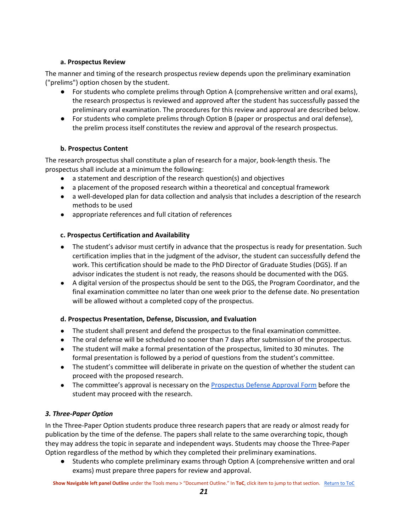#### <span id="page-21-0"></span>**a. Prospectus Review**

The manner and timing of the research prospectus review depends upon the preliminary examination ("prelims") option chosen by the student.

- For students who complete prelims through Option A (comprehensive written and oral exams), the research prospectus is reviewed and approved after the student has successfully passed the preliminary oral examination. The procedures for this review and approval are described below.
- For students who complete prelims through Option B (paper or prospectus and oral defense), the prelim process itself constitutes the review and approval of the research prospectus.

#### **b. Prospectus Content**

<span id="page-21-1"></span>The research prospectus shall constitute a plan of research for a major, book-length thesis. The prospectus shall include at a minimum the following:

- $\bullet$  a statement and description of the research question(s) and objectives
- a placement of the proposed research within a theoretical and conceptual framework
- a well-developed plan for data collection and analysis that includes a description of the research methods to be used
- appropriate references and full citation of references

#### <span id="page-21-2"></span>**c. Prospectus Certification and Availability**

- The student's advisor must certify in advance that the prospectus is ready for presentation. Such certification implies that in the judgment of the advisor, the student can successfully defend the work. This certification should be made to the PhD Director of Graduate Studies (DGS). If an advisor indicates the student is not ready, the reasons should be documented with the DGS.
- A digital version of the prospectus should be sent to the DGS, the Program Coordinator, and the final examination committee no later than one week prior to the defense date. No presentation will be allowed without a completed copy of the prospectus.

#### <span id="page-21-3"></span>**d. Prospectus Presentation, Defense, Discussion, and Evaluation**

- The student shall present and defend the prospectus to the final examination committee.
- The oral defense will be scheduled no sooner than 7 days after submission of the prospectus.
- The student will make a formal presentation of the prospectus, limited to 30 minutes. The formal presentation is followed by a period of questions from the student's committee.
- The student's committee will deliberate in private on the question of whether the student can proceed with the proposed research.
- The committee's approval is necessary on th[e Prospectus Defense Approval Form](https://docs.google.com/document/d/1koemf_F9ChTNyNANaL6u5uhHCPaJz6vcHKsK-FLNah4/edit) before the student may proceed with the research.

## <span id="page-21-4"></span>*3. Three-Paper Option*

In the Three-Paper Option students produce three research papers that are ready or almost ready for publication by the time of the defense. The papers shall relate to the same overarching topic, though they may address the topic in separate and independent ways. Students may choose the Three-Paper Option regardless of the method by which they completed their preliminary examinations.

● Students who complete preliminary exams through Option A (comprehensive written and oral exams) must prepare three papers for review and approval.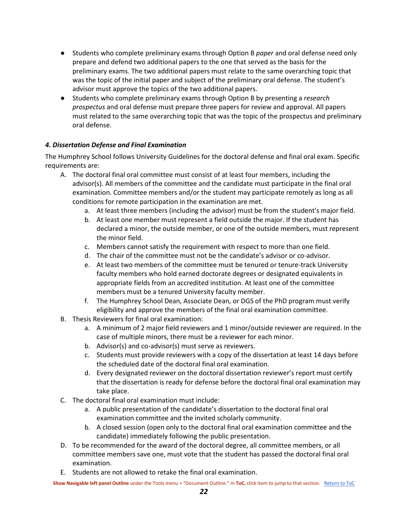- Students who complete preliminary exams through Option B *paper* and oral defense need only prepare and defend two additional papers to the one that served as the basis for the preliminary exams. The two additional papers must relate to the same overarching topic that was the topic of the initial paper and subject of the preliminary oral defense. The student's advisor must approve the topics of the two additional papers.
- Students who complete preliminary exams through Option B by presenting a *research prospectus* and oral defense must prepare three papers for review and approval. All papers must related to the same overarching topic that was the topic of the prospectus and preliminary oral defense.

#### <span id="page-22-0"></span>*4. Dissertation Defense and Final Examination*

The Humphrey School follows University Guidelines for the doctoral defense and final oral exam. Specific requirements are:

- A. The doctoral final oral committee must consist of at least four members, including the advisor(s). All members of the committee and the candidate must participate in the final oral examination. Committee members and/or the student may participate remotely as long as all conditions for remote participation in the examination are met.
	- a. At least three members (including the advisor) must be from the student's major field.
	- b. At least one member must represent a field outside the major. If the student has declared a minor, the outside member, or one of the outside members, must represent the minor field.
	- c. Members cannot satisfy the requirement with respect to more than one field.
	- d. The chair of the committee must not be the candidate's advisor or co-advisor.
	- e. At least two members of the committee must be tenured or tenure-track University faculty members who hold earned doctorate degrees or designated equivalents in appropriate fields from an accredited institution. At least one of the committee members must be a tenured University faculty member.
	- f. The Humphrey School Dean, Associate Dean, or DGS of the PhD program must verify eligibility and approve the members of the final oral examination committee.
- B. Thesis Reviewers for final oral examination:
	- a. A minimum of 2 major field reviewers and 1 minor/outside reviewer are required. In the case of multiple minors, there must be a reviewer for each minor.
	- b. Advisor(s) and co-advisor(s) must serve as reviewers.
	- c. Students must provide reviewers with a copy of the dissertation at least 14 days before the scheduled date of the doctoral final oral examination.
	- d. Every designated reviewer on the doctoral dissertation reviewer's report must certify that the dissertation is ready for defense before the doctoral final oral examination may take place.
- C. The doctoral final oral examination must include:
	- a. A public presentation of the candidate's dissertation to the doctoral final oral examination committee and the invited scholarly community.
	- b. A closed session (open only to the doctoral final oral examination committee and the candidate) immediately following the public presentation.
- D. To be recommended for the award of the doctoral degree, all committee members, or all committee members save one, must vote that the student has passed the doctoral final oral examination.
- E. Students are not allowed to retake the final oral examination.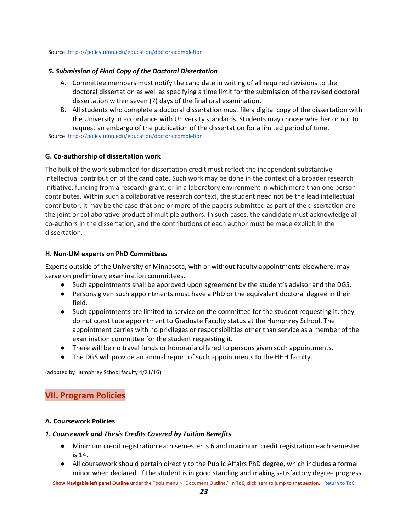#### <span id="page-23-0"></span>Source[: https://policy.umn.edu/education/doctoralcompletion](https://policy.umn.edu/education/doctoralcompletion)

#### *5. Submission of Final Copy of the Doctoral Dissertation*

- A. Committee members must notify the candidate in writing of all required revisions to the doctoral dissertation as well as specifying a time limit for the submission of the revised doctoral dissertation within seven (7) days of the final oral examination.
- B. All students who complete a doctoral dissertation must file a digital copy of the dissertation with the University in accordance with University standards. Students may choose whether or not to request an embargo of the publication of the dissertation for a limited period of time.

<span id="page-23-1"></span>Source[: https://policy.umn.edu/education/doctoralcompletion](https://policy.umn.edu/education/doctoralcompletion)

#### **G. Co-authorship of dissertation work**

The bulk of the work submitted for dissertation credit must reflect the independent substantive intellectual contribution of the candidate. Such work may be done in the context of a broader research initiative, funding from a research grant, or in a laboratory environment in which more than one person contributes. Within such a collaborative research context, the student need not be the lead intellectual contributor. It may be the case that one or more of the papers submitted as part of the dissertation are the joint or collaborative product of multiple authors. In such cases, the candidate must acknowledge all co-authors in the dissertation, and the contributions of each author must be made explicit in the dissertation.

#### <span id="page-23-6"></span><span id="page-23-2"></span>**H. Non-UM experts on PhD Committees**

Experts outside of the University of Minnesota, with or without faculty appointments elsewhere, may serve on preliminary examination committees.

- Such appointments shall be approved upon agreement by the student's advisor and the DGS.
- Persons given such appointments must have a PhD or the equivalent doctoral degree in their field.
- Such appointments are limited to service on the committee for the student requesting it; they do not constitute appointment to Graduate Faculty status at the Humphrey School. The appointment carries with no privileges or responsibilities other than service as a member of the examination committee for the student requesting it.
- There will be no travel funds or honoraria offered to persons given such appointments.
- The DGS will provide an annual report of such appointments to the HHH faculty.

<span id="page-23-3"></span>(adopted by Humphrey School faculty 4/21/16)

## **VII. Program Policies**

#### <span id="page-23-4"></span>**A. Coursework Policies**

#### <span id="page-23-5"></span>*1. Coursework and Thesis Credits Covered by Tuition Benefits*

- Minimum credit registration each semester is 6 and maximum credit registration each semester is 14.
- All coursework should pertain directly to the Public Affairs PhD degree, which includes a formal minor when declared. If the student is in good standing and making satisfactory degree progress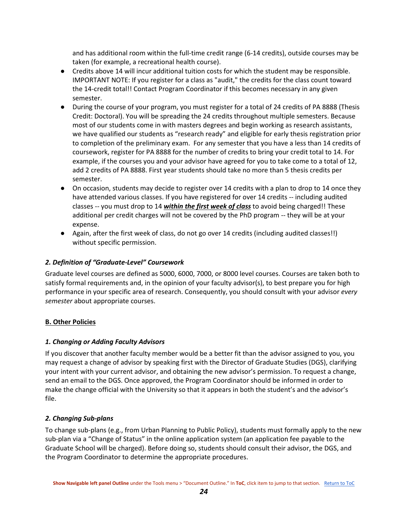and has additional room within the full-time credit range (6-14 credits), outside courses may be taken (for example, a recreational health course).

- Credits above 14 will incur additional tuition costs for which the student may be responsible. IMPORTANT NOTE: If you register for a class as "audit," the credits for the class count toward the 14-credit total!! Contact Program Coordinator if this becomes necessary in any given semester.
- During the course of your program, you must register for a total of 24 credits of PA 8888 (Thesis Credit: Doctoral). You will be spreading the 24 credits throughout multiple semesters. Because most of our students come in with masters degrees and begin working as research assistants, we have qualified our students as "research ready" and eligible for early thesis registration prior to completion of the preliminary exam. For any semester that you have a less than 14 credits of coursework, register for PA 8888 for the number of credits to bring your credit total to 14. For example, if the courses you and your advisor have agreed for you to take come to a total of 12, add 2 credits of PA 8888. First year students should take no more than 5 thesis credits per semester.
- On occasion, students may decide to register over 14 credits with a plan to drop to 14 once they have attended various classes. If you have registered for over 14 credits -- including audited classes -- you must drop to 14 *within the first week of class* to avoid being charged!! These additional per credit charges will not be covered by the PhD program -- they will be at your expense.
- Again, after the first week of class, do not go over 14 credits (including audited classes!!) without specific permission.

#### <span id="page-24-0"></span>*2. Definition of "Graduate-Level" Coursework*

Graduate level courses are defined as 5000, 6000, 7000, or 8000 level courses. Courses are taken both to satisfy formal requirements and, in the opinion of your faculty advisor(s), to best prepare you for high performance in your specific area of research. Consequently, you should consult with your advisor *every semester* about appropriate courses.

#### <span id="page-24-1"></span>**B. Other Policies**

#### <span id="page-24-2"></span>*1. Changing or Adding Faculty Advisors*

If you discover that another faculty member would be a better fit than the advisor assigned to you, you may request a change of advisor by speaking first with the Director of Graduate Studies (DGS), clarifying your intent with your current advisor, and obtaining the new advisor's permission. To request a change, send an email to the DGS. Once approved, the Program Coordinator should be informed in order to make the change official with the University so that it appears in both the student's and the advisor's file.

#### <span id="page-24-3"></span>*2. Changing Sub-plans*

To change sub-plans (e.g., from Urban Planning to Public Policy), students must formally apply to the new sub-plan via a "Change of Status" in the online application system (an application fee payable to the Graduate School will be charged). Before doing so, students should consult their advisor, the DGS, and the Program Coordinator to determine the appropriate procedures.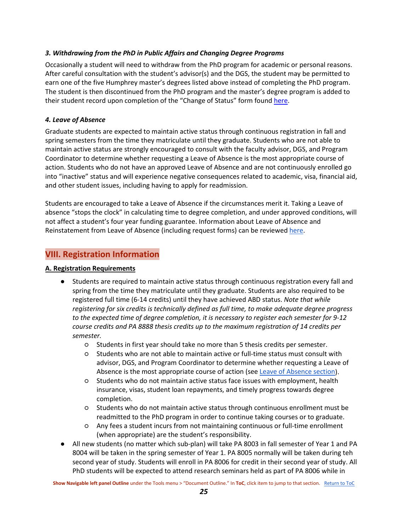#### <span id="page-25-0"></span>*3. Withdrawing from the PhD in Public Affairs and Changing Degree Programs*

Occasionally a student will need to withdraw from the PhD program for academic or personal reasons. After careful consultation with the student's advisor(s) and the DGS, the student may be permitted to earn one of the five Humphrey master's degrees listed above instead of completing the PhD program. The student is then discontinued from the PhD program and the master's degree program is added to their student record upon completion of the "Change of Status" form found [here.](https://grad.umn.edu/change-add)

#### <span id="page-25-4"></span><span id="page-25-1"></span>*4. Leave of Absence*

Graduate students are expected to maintain active status through continuous registration in fall and spring semesters from the time they matriculate until they graduate. Students who are not able to maintain active status are strongly encouraged to consult with the faculty advisor, DGS, and Program Coordinator to determine whether requesting a Leave of Absence is the most appropriate course of action. Students who do not have an approved Leave of Absence and are not continuously enrolled go into "inactive" status and will experience negative consequences related to academic, visa, financial aid, and other student issues, including having to apply for readmission.

Students are encouraged to take a Leave of Absence if the circumstances merit it. Taking a Leave of absence "stops the clock" in calculating time to degree completion, and under approved conditions, will not affect a student's four year funding guarantee. Information about Leave of Absence and Reinstatement from Leave of Absence (including request forms) can be reviewed [here.](https://policy.umn.edu/education/gradstudentleave)

## <span id="page-25-2"></span>**VIII. Registration Information**

#### <span id="page-25-3"></span>**A. Registration Requirements**

- Students are required to maintain active status through continuous registration every fall and spring from the time they matriculate until they graduate. Students are also required to be registered full time (6-14 credits) until they have achieved ABD status. *Note that while registering for six credits is technically defined as full time, to make adequate degree progress to the expected time of degree completion, it is necessary to register each semester for 9-12 course credits and PA 8888 thesis credits up to the maximum registration of 14 credits per semester.*
	- Students in first year should take no more than 5 thesis credits per semester.
	- Students who are not able to maintain active or full-time status must consult with advisor, DGS, and Program Coordinator to determine whether requesting a Leave of Absence is the most appropriate course of action (see [Leave of Absence section\)](#page-25-4).
	- Students who do not maintain active status face issues with employment, health insurance, visas, student loan repayments, and timely progress towards degree completion.
	- Students who do not maintain active status through continuous enrollment must be readmitted to the PhD program in order to continue taking courses or to graduate.
	- Any fees a student incurs from not maintaining continuous or full-time enrollment (when appropriate) are the student's responsibility.
- All new students (no matter which sub-plan) will take PA 8003 in fall semester of Year 1 and PA 8004 will be taken in the spring semester of Year 1. PA 8005 normally will be taken during teh second year of study. Students will enroll in PA 8006 for credit in their second year of study. All PhD students will be expected to attend research seminars held as part of PA 8006 while in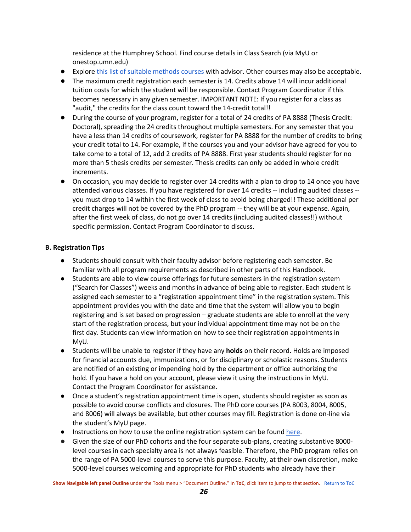residence at the Humphrey School. Find course details in Class Search (via MyU or onestop.umn.edu)

- Explore [this list of suitable methods courses](https://docs.google.com/spreadsheets/d/1cJWLk6n9vllQDxfbefR6dnCoqSuXCEyeRG0Fc1O3SPg/edit?usp=sharing) with advisor. Other courses may also be acceptable.
- The maximum credit registration each semester is 14. Credits above 14 will incur additional tuition costs for which the student will be responsible. Contact Program Coordinator if this becomes necessary in any given semester. IMPORTANT NOTE: If you register for a class as "audit," the credits for the class count toward the 14-credit total!!
- During the course of your program, register for a total of 24 credits of PA 8888 (Thesis Credit: Doctoral), spreading the 24 credits throughout multiple semesters. For any semester that you have a less than 14 credits of coursework, register for PA 8888 for the number of credits to bring your credit total to 14. For example, if the courses you and your advisor have agreed for you to take come to a total of 12, add 2 credits of PA 8888. First year students should register for no more than 5 thesis credits per semester. Thesis credits can only be added in whole credit increments.
- On occasion, you may decide to register over 14 credits with a plan to drop to 14 once you have attended various classes. If you have registered for over 14 credits -- including audited classes - you must drop to 14 within the first week of class to avoid being charged!! These additional per credit charges will not be covered by the PhD program -- they will be at your expense. Again, after the first week of class, do not go over 14 credits (including audited classes!!) without specific permission. Contact Program Coordinator to discuss.

### <span id="page-26-0"></span>**B. Registration Tips**

- Students should consult with their faculty advisor before registering each semester. Be familiar with all program requirements as described in other parts of this Handbook.
- Students are able to view course offerings for future semesters in the registration system ("Search for Classes") weeks and months in advance of being able to register. Each student is assigned each semester to a "registration appointment time" in the registration system. This appointment provides you with the date and time that the system will allow you to begin registering and is set based on progression – graduate students are able to enroll at the very start of the registration process, but your individual appointment time may not be on the first day. Students can view information on how to see their registration appointments in MyU.
- Students will be unable to register if they have any **holds** on their record. Holds are imposed for financial accounts due, immunizations, or for disciplinary or scholastic reasons. Students are notified of an existing or impending hold by the department or office authorizing the hold. If you have a hold on your account, please view it using the instructions in MyU. Contact the Program Coordinator for assistance.
- Once a student's registration appointment time is open, students should register as soon as possible to avoid course conflicts and closures. The PhD core courses (PA 8003, 8004, 8005, and 8006) will always be available, but other courses may fill. Registration is done on-line via the student's MyU page.
- **•** Instructions on how to use the online registration system can be foun[d here.](https://onestop.umn.edu/how-guides)
- Given the size of our PhD cohorts and the four separate sub-plans, creating substantive 8000level courses in each specialty area is not always feasible. Therefore, the PhD program relies on the range of PA 5000-level courses to serve this purpose. Faculty, at their own discretion, make 5000-level courses welcoming and appropriate for PhD students who already have their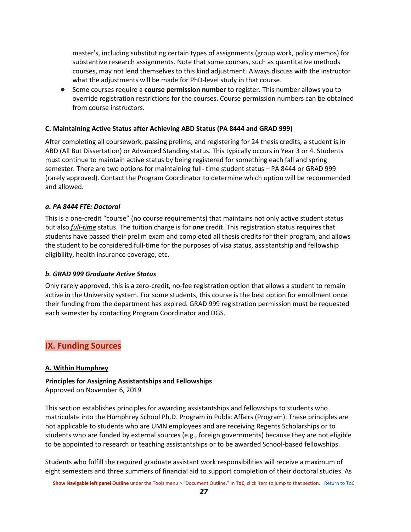master's, including substituting certain types of assignments (group work, policy memos) for substantive research assignments. Note that some courses, such as quantitative methods courses, may not lend themselves to this kind adjustment. Always discuss with the instructor what the adjustments will be made for PhD-level study in that course.

● Some courses require a **course permission number** to register. This number allows you to override registration restrictions for the courses. Course permission numbers can be obtained from course instructors.

#### <span id="page-27-0"></span>**C. Maintaining Active Status after Achieving ABD Status (PA 8444 and GRAD 999)**

After completing all coursework, passing prelims, and registering for 24 thesis credits, a student is in ABD (All But Dissertation) or Advanced Standing status. This typically occurs in Year 3 or 4. Students must continue to maintain active status by being registered for something each fall and spring semester. There are two options for maintaining full- time student status – PA 8444 or GRAD 999 (rarely approved). Contact the Program Coordinator to determine which option will be recommended and allowed.

#### <span id="page-27-1"></span>*a. PA 8444 FTE: Doctoral*

This is a one-credit "course" (no course requirements) that maintains not only active student status but also *full-time* status. The tuition charge is for *one* credit. This registration status requires that students have passed their prelim exam and completed all thesis credits for their program, and allows the student to be considered full-time for the purposes of visa status, assistantship and fellowship eligibility, health insurance coverage, etc.

#### <span id="page-27-2"></span>*b. GRAD 999 Graduate Active Status*

Only rarely approved, this is a zero-credit, no-fee registration option that allows a student to remain active in the University system. For some students, this course is the best option for enrollment once their funding from the department has expired. GRAD 999 registration permission must be requested each semester by contacting Program Coordinator and DGS.

## <span id="page-27-3"></span>**IX. Funding Sources**

#### <span id="page-27-4"></span>**A. Within Humphrey**

#### **Principles for Assigning Assistantships and Fellowships**

Approved on November 6, 2019

This section establishes principles for awarding assistantships and fellowships to students who matriculate into the Humphrey School Ph.D. Program in Public Affairs (Program). These principles are not applicable to students who are UMN employees and are receiving Regents Scholarships or to students who are funded by external sources (e.g., foreign governments) because they are not eligible to be appointed to research or teaching assistantships or to be awarded School-based fellowships.

Students who fulfill the required graduate assistant work responsibilities will receive a maximum of eight semesters and three summers of financial aid to support completion of their doctoral studies. As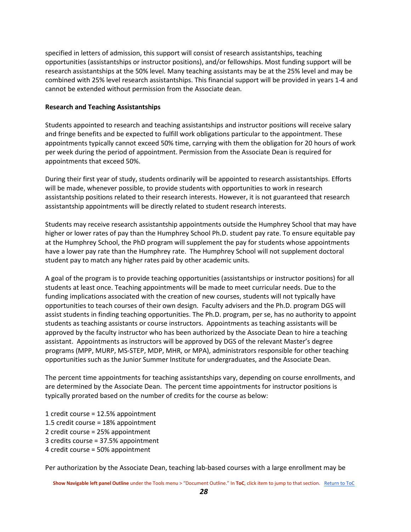specified in letters of admission, this support will consist of research assistantships, teaching opportunities (assistantships or instructor positions), and/or fellowships. Most funding support will be research assistantships at the 50% level. Many teaching assistants may be at the 25% level and may be combined with 25% level research assistantships. This financial support will be provided in years 1-4 and cannot be extended without permission from the Associate dean.

#### **Research and Teaching Assistantships**

Students appointed to research and teaching assistantships and instructor positions will receive salary and fringe benefits and be expected to fulfill work obligations particular to the appointment. These appointments typically cannot exceed 50% time, carrying with them the obligation for 20 hours of work per week during the period of appointment. Permission from the Associate Dean is required for appointments that exceed 50%.

During their first year of study, students ordinarily will be appointed to research assistantships. Efforts will be made, whenever possible, to provide students with opportunities to work in research assistantship positions related to their research interests. However, it is not guaranteed that research assistantship appointments will be directly related to student research interests.

Students may receive research assistantship appointments outside the Humphrey School that may have higher or lower rates of pay than the Humphrey School Ph.D. student pay rate. To ensure equitable pay at the Humphrey School, the PhD program will supplement the pay for students whose appointments have a lower pay rate than the Humphrey rate. The Humphrey School will not supplement doctoral student pay to match any higher rates paid by other academic units.

A goal of the program is to provide teaching opportunities (assistantships or instructor positions) for all students at least once. Teaching appointments will be made to meet curricular needs. Due to the funding implications associated with the creation of new courses, students will not typically have opportunities to teach courses of their own design. Faculty advisers and the Ph.D. program DGS will assist students in finding teaching opportunities. The Ph.D. program, per se, has no authority to appoint students as teaching assistants or course instructors. Appointments as teaching assistants will be approved by the faculty instructor who has been authorized by the Associate Dean to hire a teaching assistant. Appointments as instructors will be approved by DGS of the relevant Master's degree programs (MPP, MURP, MS-STEP, MDP, MHR, or MPA), administrators responsible for other teaching opportunities such as the Junior Summer Institute for undergraduates, and the Associate Dean.

The percent time appointments for teaching assistantships vary, depending on course enrollments, and are determined by the Associate Dean. The percent time appointments for instructor positions is typically prorated based on the number of credits for the course as below:

- 1 credit course = 12.5% appointment 1.5 credit course = 18% appointment 2 credit course = 25% appointment 3 credits course = 37.5% appointment
- 4 credit course = 50% appointment

Per authorization by the Associate Dean, teaching lab-based courses with a large enrollment may be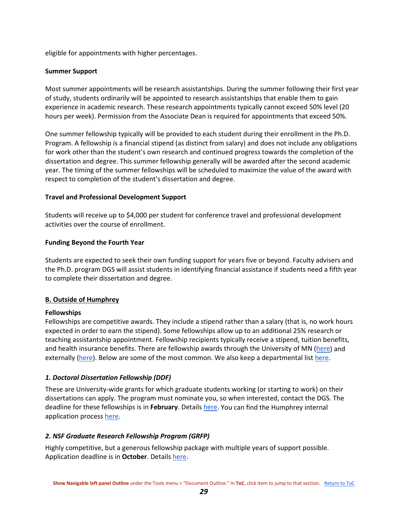eligible for appointments with higher percentages.

#### **Summer Support**

Most summer appointments will be research assistantships. During the summer following their first year of study, students ordinarily will be appointed to research assistantships that enable them to gain experience in academic research. These research appointments typically cannot exceed 50% level (20 hours per week). Permission from the Associate Dean is required for appointments that exceed 50%.

One summer fellowship typically will be provided to each student during their enrollment in the Ph.D. Program. A fellowship is a financial stipend (as distinct from salary) and does not include any obligations for work other than the student's own research and continued progress towards the completion of the dissertation and degree. This summer fellowship generally will be awarded after the second academic year. The timing of the summer fellowships will be scheduled to maximize the value of the award with respect to completion of the student's dissertation and degree.

#### **Travel and Professional Development Support**

Students will receive up to \$4,000 per student for conference travel and professional development activities over the course of enrollment.

#### **Funding Beyond the Fourth Year**

Students are expected to seek their own funding support for years five or beyond. Faculty advisers and the Ph.D. program DGS will assist students in identifying financial assistance if students need a fifth year to complete their dissertation and degree.

#### <span id="page-29-0"></span>**B. Outside of Humphrey**

#### **Fellowships**

Fellowships are competitive awards. They include a stipend rather than a salary (that is, no work hours expected in order to earn the stipend). Some fellowships allow up to an additional 25% research or teaching assistantship appointment. Fellowship recipients typically receive a stipend, tuition benefits, and health insurance benefits. There are fellowship awards through the University of MN [\(here\)](https://grad.umn.edu/funding/current-students) and externally [\(here\)](https://drive.google.com/file/d/0B6XqFzVTqS8hMHNTcTQ2dElPUFVIYUt2bVVrRk9iU2ZROVRJ/view). Below are some of the most common. We also keep a departmental list [here.](https://sites.google.com/a/umn.edu/phd-in-public-affairs/home/funding-opportunities)

#### <span id="page-29-1"></span>*1. Doctoral Dissertation Fellowship (DDF)*

These are University-wide grants for which graduate students working (or starting to work) on their dissertations can apply. The program must nominate you, so when interested, contact the DGS. The deadline for these fellowships is in **February**. Details [here.](https://grad.umn.edu/funding/current-students/apply-through-program/doctoral-dissertation-fellowship) You can find the Humphrey internal application process [here.](https://sites.google.com/a/umn.edu/phd-in-public-affairs/home/funding-opportunities/humphrey-ddf-process)

#### <span id="page-29-2"></span>*2. NSF Graduate Research Fellowship Program (GRFP)*

Highly competitive, but a generous fellowship package with multiple years of support possible. Application deadline is in **October**. Details [here.](https://www.nsf.gov/funding/pgm_summ.jsp?pims_id=6201&org=NSF)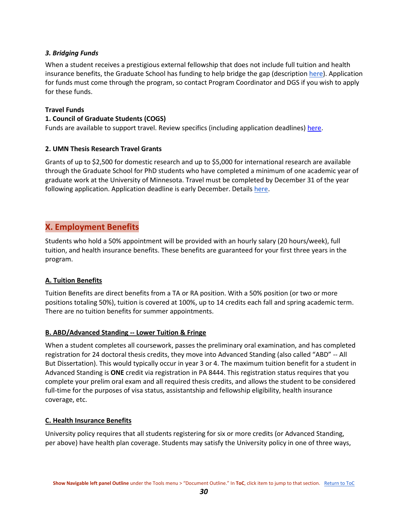#### <span id="page-30-0"></span>*3. Bridging Funds*

When a student receives a prestigious external fellowship that does not include full tuition and health insurance benefits, the Graduate School has funding to help bridge the gap (descriptio[n here\)](https://www.grad.umn.edu/funding-tuition/bridgingfunds). Application for funds must come through the program, so contact Program Coordinator and DGS if you wish to apply for these funds.

#### **Travel Funds**

#### **1. Council of Graduate Students (COGS)**

<span id="page-30-1"></span>Funds are available to support travel. Review specifics (including application deadlines) [here.](https://cogs.umn.edu/grants)

#### **2. UMN Thesis Research Travel Grants**

Grants of up to \$2,500 for domestic research and up to \$5,000 for international research are available through the Graduate School for PhD students who have completed a minimum of one academic year of graduate work at the University of Minnesota. Travel must be completed by December 31 of the year following application. Application deadline is early December. Details [here.](https://grad.umn.edu/funding/current-students/apply-directly/thesis-research-travel-grants)

## <span id="page-30-2"></span>**X. Employment Benefits**

Students who hold a 50% appointment will be provided with an hourly salary (20 hours/week), full tuition, and health insurance benefits. These benefits are guaranteed for your first three years in the program.

#### <span id="page-30-3"></span>**A. Tuition Benefits**

Tuition Benefits are direct benefits from a TA or RA position. With a 50% position (or two or more positions totaling 50%), tuition is covered at 100%, up to 14 credits each fall and spring academic term. There are no tuition benefits for summer appointments.

#### <span id="page-30-4"></span>**B. ABD/Advanced Standing -- Lower Tuition & Fringe**

When a student completes all coursework, passes the preliminary oral examination, and has completed registration for 24 doctoral thesis credits, they move into Advanced Standing (also called "ABD" -- All But Dissertation). This would typically occur in year 3 or 4. The maximum tuition benefit for a student in Advanced Standing is **ONE** credit via registration in PA 8444. This registration status requires that you complete your prelim oral exam and all required thesis credits, and allows the student to be considered full-time for the purposes of visa status, assistantship and fellowship eligibility, health insurance coverage, etc.

#### <span id="page-30-5"></span>**C. Health Insurance Benefits**

University policy requires that all students registering for six or more credits (or Advanced Standing, per above) have health plan coverage. Students may satisfy the University policy in one of three ways,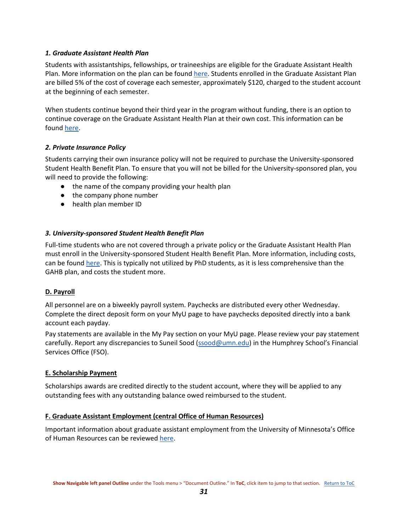#### <span id="page-31-0"></span>*1. Graduate Assistant Health Plan*

Students with assistantships, fellowships, or traineeships are eligible for the Graduate Assistant Health Plan. More information on the plan can be found [here.](https://shb.umn.edu/health-plans/gahp-home) Students enrolled in the Graduate Assistant Plan are billed 5% of the cost of coverage each semester, approximately \$120, charged to the student account at the beginning of each semester.

When students continue beyond their third year in the program without funding, there is an option to continue coverage on the Graduate Assistant Health Plan at their own cost. This information can be found [here.](https://shb.umn.edu/graduate-assistants/gahp-continuation-coverage)

#### <span id="page-31-1"></span>*2. Private Insurance Policy*

Students carrying their own insurance policy will not be required to purchase the University-sponsored Student Health Benefit Plan. To ensure that you will not be billed for the University-sponsored plan, you will need to provide the following:

- the name of the company providing your health plan
- the company phone number
- health plan member ID

#### <span id="page-31-2"></span>*3. University-sponsored Student Health Benefit Plan*

Full-time students who are not covered through a private policy or the Graduate Assistant Health Plan must enroll in the University-sponsored Student Health Benefit Plan. More information, including costs, can be found [here.](https://shb.umn.edu/health-plans/shbp-home) This is typically not utilized by PhD students, as it is less comprehensive than the GAHB plan, and costs the student more.

#### <span id="page-31-3"></span>**D. Payroll**

All personnel are on a biweekly payroll system. Paychecks are distributed every other Wednesday. Complete the direct deposit form on your MyU page to have paychecks deposited directly into a bank account each payday.

Pay statements are available in the My Pay section on your MyU page. Please review your pay statement carefully. Report any discrepancies to Suneil Sood [\(ssood@umn.edu\)](mailto:ssood@umn.edu) in the Humphrey School's Financial Services Office (FSO).

#### <span id="page-31-4"></span>**E. Scholarship Payment**

Scholarships awards are credited directly to the student account, where they will be applied to any outstanding fees with any outstanding balance owed reimbursed to the student.

#### <span id="page-31-5"></span>**F. Graduate Assistant Employment (central Office of Human Resources)**

Important information about graduate assistant employment from the University of Minnesota's Office of Human Resources can be reviewed [here.](https://humanresources.umn.edu/find-job/graduate-assistant-jobs)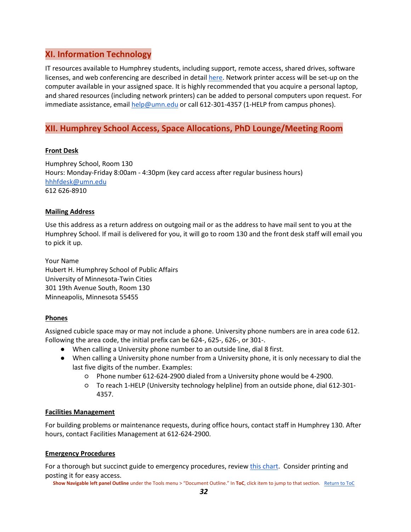## <span id="page-32-0"></span>**XI. Information Technology**

IT resources available to Humphrey students, including support, remote access, shared drives, software licenses, and web conferencing are described in detail [here.](https://sites.google.com/umn.edu/hhhhelpcenter/humphrey-help-center/ittechnology) Network printer access will be set-up on the computer available in your assigned space. It is highly recommended that you acquire a personal laptop, and shared resources (including network printers) can be added to personal computers upon request. For immediate assistance, email [help@umn.edu](mailto:help@umn.edu) or call 612-301-4357 (1-HELP from campus phones).

## <span id="page-32-1"></span>**XII. Humphrey School Access, Space Allocations, PhD Lounge/Meeting Room**

#### <span id="page-32-2"></span>**Front Desk**

Humphrey School, Room 130 Hours: Monday-Friday 8:00am - 4:30pm (key card access after regular business hours) [hhhfdesk@umn.edu](mailto:hhhfrontdesk@umn.edu) 612 626-8910

#### <span id="page-32-3"></span>**Mailing Address**

Use this address as a return address on outgoing mail or as the address to have mail sent to you at the Humphrey School. If mail is delivered for you, it will go to room 130 and the front desk staff will email you to pick it up.

Your Name Hubert H. Humphrey School of Public Affairs University of Minnesota-Twin Cities 301 19th Avenue South, Room 130 Minneapolis, Minnesota 55455

#### <span id="page-32-4"></span>**Phones**

Assigned cubicle space may or may not include a phone. University phone numbers are in area code 612. Following the area code, the initial prefix can be 624-, 625-, 626-, or 301-.

- When calling a University phone number to an outside line, dial 8 first.
- When calling a University phone number from a University phone, it is only necessary to dial the last five digits of the number. Examples:
	- Phone number 612-624-2900 dialed from a University phone would be 4-2900.
	- To reach 1-HELP (University technology helpline) from an outside phone, dial 612-301- 4357.

#### <span id="page-32-5"></span>**Facilities Management**

For building problems or maintenance requests, during office hours, contact staff in Humphrey 130. After hours, contact Facilities Management at 612-624-2900.

#### <span id="page-32-6"></span>**Emergency Procedures**

For a thorough but succinct guide to emergency procedures, revie[w this chart.](https://drive.google.com/file/d/1E0U1zGsrHJKqb3RjTA0uz0BhqG3G0ihC/view) Consider printing and posting it for easy access.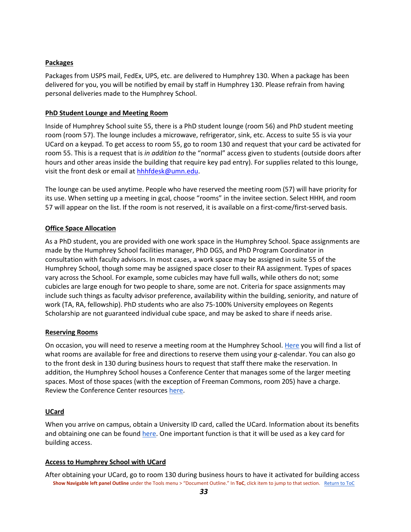#### <span id="page-33-0"></span>**Packages**

Packages from USPS mail, FedEx, UPS, etc. are delivered to Humphrey 130. When a package has been delivered for you, you will be notified by email by staff in Humphrey 130. Please refrain from having personal deliveries made to the Humphrey School.

#### <span id="page-33-1"></span>**PhD Student Lounge and Meeting Room**

Inside of Humphrey School suite 55, there is a PhD student lounge (room 56) and PhD student meeting room (room 57). The lounge includes a microwave, refrigerator, sink, etc. Access to suite 55 is via your UCard on a keypad. To get access to room 55, go to room 130 and request that your card be activated for room 55. This is a request that is *in addition to* the "normal" access given to students (outside doors after hours and other areas inside the building that require key pad entry). For supplies related to this lounge, visit the front desk or email at [hhhfdesk@umn.edu.](mailto:hhhfdesk@umn.edu)

The lounge can be used anytime. People who have reserved the meeting room (57) will have priority for its use. When setting up a meeting in gcal, choose "rooms" in the invitee section. Select HHH, and room 57 will appear on the list. If the room is not reserved, it is available on a first-come/first-served basis.

#### <span id="page-33-2"></span>**Office Space Allocation**

As a PhD student, you are provided with one work space in the Humphrey School. Space assignments are made by the Humphrey School facilities manager, PhD DGS, and PhD Program Coordinator in consultation with faculty advisors. In most cases, a work space may be assigned in suite 55 of the Humphrey School, though some may be assigned space closer to their RA assignment. Types of spaces vary across the School. For example, some cubicles may have full walls, while others do not; some cubicles are large enough for two people to share, some are not. Criteria for space assignments may include such things as faculty advisor preference, availability within the building, seniority, and nature of work (TA, RA, fellowship). PhD students who are also 75-100% University employees on Regents Scholarship are not guaranteed individual cube space, and may be asked to share if needs arise.

#### <span id="page-33-3"></span>**Reserving Rooms**

On occasion, you will need to reserve a meeting room at the Humphrey School. [Here](https://sites.google.com/umn.edu/hhhhelpcenter/humphrey-help-center/parkingdininghumphrey-maps) you will find a list of what rooms are available for free and directions to reserve them using your g-calendar. You can also go to the front desk in 130 during business hours to request that staff there make the reservation. In addition, the Humphrey School houses a Conference Center that manages some of the larger meeting spaces. Most of those spaces (with the exception of Freeman Commons, room 205) have a charge. Review the Conference Center resources [here.](https://www.hhh.umn.edu/about/conference-center-rental)

#### <span id="page-33-4"></span>**UCard**

When you arrive on campus, obtain a University ID card, called the UCard. Information about its benefits and obtaining one can be found [here.](https://ucard.umn.edu/umtc/home) One important function is that it will be used as a key card for building access.

#### <span id="page-33-5"></span>**Access to Humphrey School with UCard**

**Show Navigable left panel Outline** under the Tools menu > "Document Outline." In **ToC**, click item to jump to that section. [Return to ToC](#page-1-0)  After obtaining your UCard, go to room 130 during business hours to have it activated for building access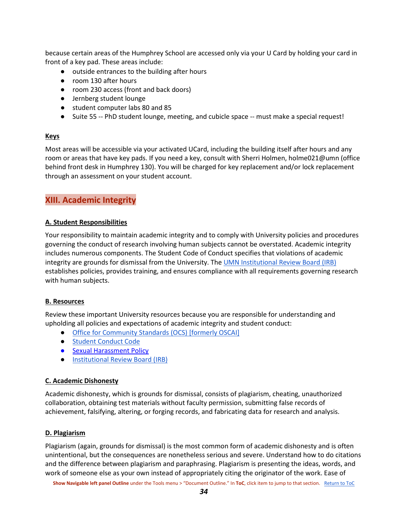because certain areas of the Humphrey School are accessed only via your U Card by holding your card in front of a key pad. These areas include:

- outside entrances to the building after hours
- room 130 after hours
- room 230 access (front and back doors)
- Jernberg student lounge
- student computer labs 80 and 85
- Suite 55 -- PhD student lounge, meeting, and cubicle space -- must make a special request!

#### <span id="page-34-0"></span>**Keys**

Most areas will be accessible via your activated UCard, including the building itself after hours and any room or areas that have key pads. If you need a key, consult with Sherri Holmen, holme021@umn (office behind front desk in Humphrey 130). You will be charged for key replacement and/or lock replacement through an assessment on your student account.

## <span id="page-34-1"></span>**XIII. Academic Integrity**

#### <span id="page-34-2"></span>**A. Student Responsibilities**

Your responsibility to maintain academic integrity and to comply with University policies and procedures governing the conduct of research involving human subjects cannot be overstated. Academic integrity includes numerous components. The Student Code of Conduct specifies that violations of academic integrity are grounds for dismissal from the University. The [UMN Institutional Review Board \(IRB\)](https://research.umn.edu/units/irb) establishes policies, provides training, and ensures compliance with all requirements governing research with human subjects.

#### <span id="page-34-3"></span>**B. Resources**

Review these important University resources because you are responsible for understanding and upholding all policies and expectations of academic integrity and student conduct:

- [Office for Community Standards \(OCS\) \[formerly OSCAI\]](https://communitystandards.umn.edu/)
- [Student Conduct Code](http://regents.umn.edu/sites/regents.umn.edu/files/policies/Student_Conduct_Code.pdf)
- [Sexual Harassment Policy](https://policy.umn.edu/hr/sexharassassault)
- [Institutional Review Board \(IRB\)](https://research.umn.edu/units/irb)

#### <span id="page-34-4"></span>**C. Academic Dishonesty**

Academic dishonesty, which is grounds for dismissal, consists of plagiarism, cheating, unauthorized collaboration, obtaining test materials without faculty permission, submitting false records of achievement, falsifying, altering, or forging records, and fabricating data for research and analysis.

#### <span id="page-34-5"></span>**D. Plagiarism**

Plagiarism (again, grounds for dismissal) is the most common form of academic dishonesty and is often unintentional, but the consequences are nonetheless serious and severe. Understand how to do citations and the difference between plagiarism and paraphrasing. Plagiarism is presenting the ideas, words, and work of someone else as your own instead of appropriately citing the originator of the work. Ease of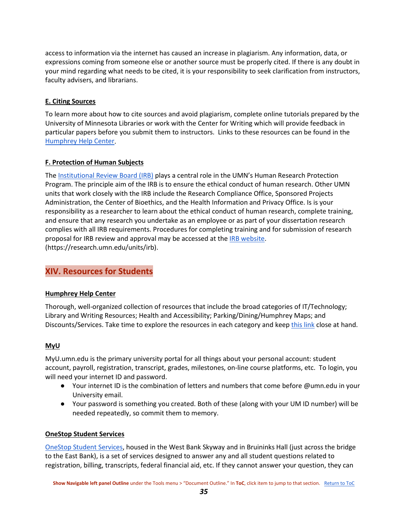access to information via the internet has caused an increase in plagiarism. Any information, data, or expressions coming from someone else or another source must be properly cited. If there is any doubt in your mind regarding what needs to be cited, it is your responsibility to seek clarification from instructors, faculty advisers, and librarians.

#### <span id="page-35-0"></span>**E. Citing Sources**

To learn more about how to cite sources and avoid plagiarism, complete online tutorials prepared by the University of Minnesota Libraries or work with the Center for Writing which will provide feedback in particular papers before you submit them to instructors. Links to these resources can be found in the [Humphrey Help Center.](https://sites.google.com/umn.edu/hhhhelpcenter/humphrey-help-center)

#### <span id="page-35-1"></span>**F. Protection of Human Subjects**

Th[e Institutional Review Board \(IRB\)](https://research.umn.edu/units/irb) plays a central role in the UMN's Human Research Protection Program. The principle aim of the IRB is to ensure the ethical conduct of human research. Other UMN units that work closely with the IRB include the Research Compliance Office, Sponsored Projects Administration, the Center of Bioethics, and the Health Information and Privacy Office. Is is your responsibility as a researcher to learn about the ethical conduct of human research, complete training, and ensure that any research you undertake as an employee or as part of your dissertation research complies with all IRB requirements. Procedures for completing training and for submission of research proposal for IRB review and approval may be accessed at the [IRB website.](https://research.umn.edu/units/irb) (https://research.umn.edu/units/irb).

## <span id="page-35-2"></span>**XIV. Resources for Students**

#### <span id="page-35-3"></span>**Humphrey Help Center**

Thorough, well-organized collection of resources that include the broad categories of IT/Technology; Library and Writing Resources; Health and Accessibility; Parking/Dining/Humphrey Maps; and Discounts/Services. Take time to explore the resources in each category and keep [this link](https://sites.google.com/umn.edu/hhhhelpcenter/humphrey-help-center) close at hand.

#### <span id="page-35-4"></span>**MyU**

MyU.umn.edu is the primary university portal for all things about your personal account: student account, payroll, registration, transcript, grades, milestones, on-line course platforms, etc. To login, you will need your internet ID and password.

- Your internet ID is the combination of letters and numbers that come before @umn.edu in your University email.
- Your password is something you created. Both of these (along with your UM ID number) will be needed repeatedly, so commit them to memory.

#### <span id="page-35-5"></span>**OneStop Student Services**

[OneStop Student Services,](http://www.onestop.umn.edu/) housed in the West Bank Skyway and in Bruininks Hall (just across the bridge to the East Bank), is a set of services designed to answer any and all student questions related to registration, billing, transcripts, federal financial aid, etc. If they cannot answer your question, they can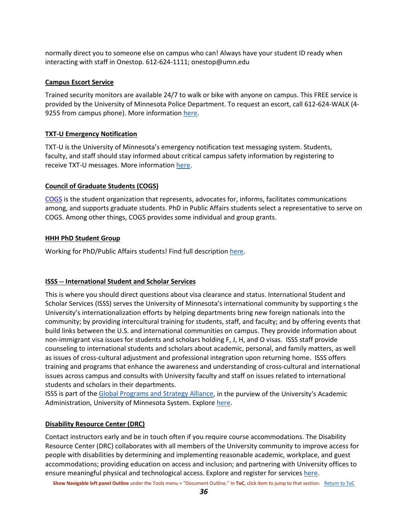normally direct you to someone else on campus who can! Always have your student ID ready when interacting with staff in Onestop. 612-624-1111; onestop@umn.edu

#### <span id="page-36-0"></span>**Campus Escort Service**

Trained security monitors are available 24/7 to walk or bike with anyone on campus. This FREE service is provided by the University of Minnesota Police Department. To request an escort, call 612-624-WALK (4 9255 from campus phone). More information [here.](http://www.pts.umn.edu/walk/campus-security-monitor-escort)

#### <span id="page-36-1"></span>**TXT-U Emergency Notification**

TXT-U is the University of Minnesota's emergency notification text messaging system. Students, faculty, and staff should stay informed about critical campus safety information by registering to receive TXT-U messages. More informatio[n here.](http://safe-u.umn.edu/safe-u.html)

#### <span id="page-36-2"></span>**Council of Graduate Students (COGS)**

[COGS](https://cogs.umn.edu/) is the student organization that represents, advocates for, informs, facilitates communications among, and supports graduate students. PhD in Public Affairs students select a representative to serve on COGS. Among other things, COGS provides some individual and group grants.

#### <span id="page-36-3"></span>**HHH PhD Student Group**

Working for PhD/Public Affairs students! Find full descriptio[n here.](https://sites.google.com/umn.edu/hhhphd/home)

#### <span id="page-36-4"></span>**ISSS -- International Student and Scholar Services**

This is where you should direct questions about visa clearance and status. International Student and Scholar Services (ISSS) serves the University of Minnesota's international community by supporting s the University's internationalization efforts by helping departments bring new foreign nationals into the community; by providing intercultural training for students, staff, and faculty; and by offering events that build links between the U.S. and international communities on campus. They provide information about non-immigrant visa issues for students and scholars holding F, J, H, and O visas. ISSS staff provide counseling to international students and scholars about academic, personal, and family matters, as well as issues of cross-cultural adjustment and professional integration upon returning home. ISSS offers training and programs that enhance the awareness and understanding of cross-cultural and international issues across campus and consults with University faculty and staff on issues related to international students and scholars in their departments.

ISSS is part of the [Global Programs and Strategy Alliance,](http://global.umn.edu/) in the purview of the University's Academic Administration, University of Minnesota System. Explor[e here.](https://isss.umn.edu/)

#### <span id="page-36-5"></span>**Disability Resource Center (DRC)**

Contact instructors early and be in touch often if you require course accommodations. The Disability Resource Center (DRC) collaborates with all members of the University community to improve access for people with disabilities by determining and implementing reasonable academic, workplace, and guest accommodations; providing education on access and inclusion; and partnering with University offices to ensure meaningful physical and technological access. Explore and register for services [here.](https://diversity.umn.edu/disability/)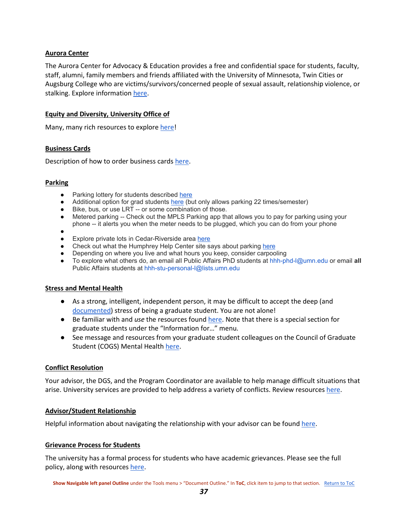#### <span id="page-37-0"></span>**Aurora Center**

The Aurora Center for Advocacy & Education provides a free and confidential space for students, faculty, staff, alumni, family members and friends affiliated with the University of Minnesota, Twin Cities or Augsburg College who are victims/survivors/concerned people of sexual assault, relationship violence, or stalking. Explore informatio[n here.](http://aurora.umn.edu/)

#### <span id="page-37-1"></span>**Equity and Diversity, University Office of**

<span id="page-37-2"></span>Many, many rich resources to explore [here!](https://diversity.umn.edu/)

#### **Business Cards**

<span id="page-37-3"></span>Description of how to order business cards [here.](https://sites.google.com/a/umn.edu/ph-d-in-public-affairs-information-for-new-students/ordering-business-cards)

#### **Parking**

- Parking lottery for students described [here](http://www.pts.umn.edu/park/contract/studentcontracts)
- Additional option for grad students [here](http://www.pts.umn.edu/park/contract/graduateoccational) (but only allows parking 22 times/semester)
- Bike, bus, or use LRT -- or some combination of those.
- Metered parking -- Check out the MPLS Parking app that allows you to pay for parking using your
	- phone -- it alerts you when the meter needs to be plugged, which you can do from your phone
- $\bullet$
- Explore private lots in Cedar-Riverside area [here](http://en.parkopedia.com/parking/neighborhood/Cedar-Riverside-Minneapolis-MN/?arriving=201707171730&leaving=201707171930)
- Check out what the Humphrey Help Center site says about parking [here](https://sites.google.com/umn.edu/hhhhelpcenter/humphrey-help-center/parkingdininghumphrey-maps)
- Depending on where you live and what hours you keep, consider carpooling
- To explore what others do, an email all Public Affairs PhD students at hhh-phd-l@umn.edu or email **all** Public Affairs students at hhh-stu-personal-l@lists.umn.edu

#### <span id="page-37-4"></span>**Stress and Mental Health**

- As a strong, intelligent, independent person, it may be difficult to accept the deep (and [documented\)](https://sites.google.com/a/umn.edu/phd-in-public-affairs/stress-health-and-well-being) stress of being a graduate student. You are not alone!
- Be familiar with and *use* the resources found [here.](http://www.mentalhealth.umn.edu/) Note that there is a special section for graduate students under the "Information for…" menu.
- See message and resources from your graduate student colleagues on the Council of Graduate Student (COGS) Mental Healt[h here.](https://cogs.umn.edu/faqs/mental-health-related-resources)

#### <span id="page-37-5"></span>**Conflict Resolution**

Your advisor, the DGS, and the Program Coordinator are available to help manage difficult situations that arise. University services are provided to help address a variety of conflicts. Review resource[s here.](https://onestop.umn.edu/terms-conditions/student-complaints-and-grievances)

#### <span id="page-37-6"></span>**Advisor/Student Relationship**

<span id="page-37-7"></span>Helpful information about navigating the relationship with your advisor can be found [here.](http://www.gradvising.umn.edu/for-students.html)

#### **Grievance Process for Students**

The university has a formal process for students who have academic grievances. Please see the full policy, along with resources [here.](https://policy.umn.edu/education/studentcomplaints-proc01)